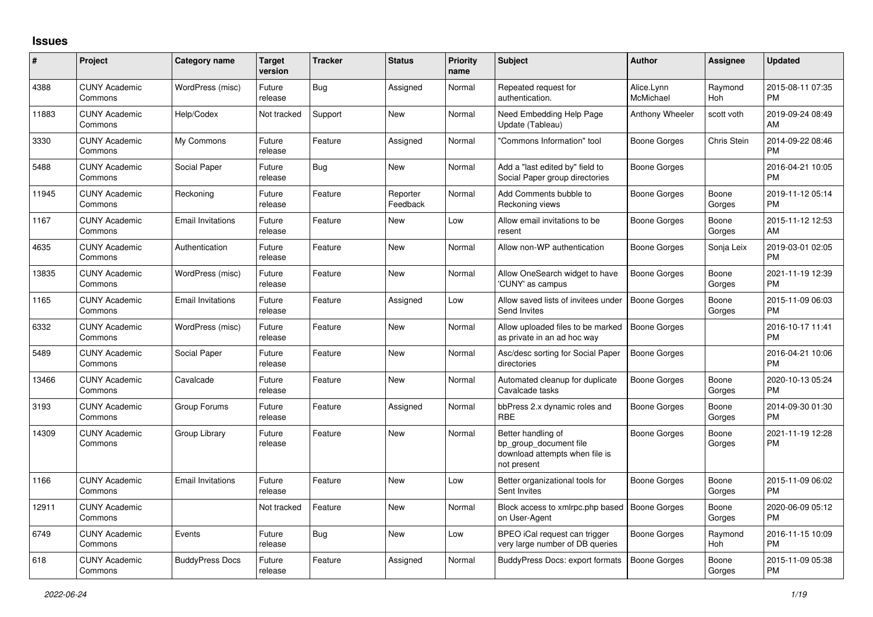## **Issues**

| #     | Project                         | <b>Category name</b>     | <b>Target</b><br>version | <b>Tracker</b> | <b>Status</b>        | <b>Priority</b><br>name | <b>Subject</b>                                                                                | <b>Author</b>           | <b>Assignee</b> | <b>Updated</b>                |
|-------|---------------------------------|--------------------------|--------------------------|----------------|----------------------|-------------------------|-----------------------------------------------------------------------------------------------|-------------------------|-----------------|-------------------------------|
| 4388  | <b>CUNY Academic</b><br>Commons | WordPress (misc)         | Future<br>release        | Bug            | Assigned             | Normal                  | Repeated request for<br>authentication.                                                       | Alice.Lynn<br>McMichael | Raymond<br>Hoh  | 2015-08-11 07:35<br><b>PM</b> |
| 11883 | <b>CUNY Academic</b><br>Commons | Help/Codex               | Not tracked              | Support        | <b>New</b>           | Normal                  | Need Embedding Help Page<br>Update (Tableau)                                                  | Anthony Wheeler         | scott voth      | 2019-09-24 08:49<br>AM        |
| 3330  | <b>CUNY Academic</b><br>Commons | My Commons               | Future<br>release        | Feature        | Assigned             | Normal                  | 'Commons Information" tool                                                                    | Boone Gorges            | Chris Stein     | 2014-09-22 08:46<br><b>PM</b> |
| 5488  | <b>CUNY Academic</b><br>Commons | Social Paper             | Future<br>release        | Bug            | <b>New</b>           | Normal                  | Add a "last edited by" field to<br>Social Paper group directories                             | Boone Gorges            |                 | 2016-04-21 10:05<br><b>PM</b> |
| 11945 | <b>CUNY Academic</b><br>Commons | Reckoning                | Future<br>release        | Feature        | Reporter<br>Feedback | Normal                  | Add Comments bubble to<br>Reckoning views                                                     | Boone Gorges            | Boone<br>Gorges | 2019-11-12 05:14<br><b>PM</b> |
| 1167  | <b>CUNY Academic</b><br>Commons | <b>Email Invitations</b> | Future<br>release        | Feature        | <b>New</b>           | Low                     | Allow email invitations to be<br>resent                                                       | Boone Gorges            | Boone<br>Gorges | 2015-11-12 12:53<br>AM        |
| 4635  | <b>CUNY Academic</b><br>Commons | Authentication           | Future<br>release        | Feature        | New                  | Normal                  | Allow non-WP authentication                                                                   | Boone Gorges            | Sonja Leix      | 2019-03-01 02:05<br><b>PM</b> |
| 13835 | <b>CUNY Academic</b><br>Commons | WordPress (misc)         | Future<br>release        | Feature        | <b>New</b>           | Normal                  | Allow OneSearch widget to have<br>'CUNY' as campus                                            | <b>Boone Gorges</b>     | Boone<br>Gorges | 2021-11-19 12:39<br><b>PM</b> |
| 1165  | <b>CUNY Academic</b><br>Commons | <b>Email Invitations</b> | Future<br>release        | Feature        | Assigned             | Low                     | Allow saved lists of invitees under<br>Send Invites                                           | <b>Boone Gorges</b>     | Boone<br>Gorges | 2015-11-09 06:03<br><b>PM</b> |
| 6332  | <b>CUNY Academic</b><br>Commons | WordPress (misc)         | Future<br>release        | Feature        | <b>New</b>           | Normal                  | Allow uploaded files to be marked<br>as private in an ad hoc way                              | <b>Boone Gorges</b>     |                 | 2016-10-17 11:41<br><b>PM</b> |
| 5489  | <b>CUNY Academic</b><br>Commons | Social Paper             | Future<br>release        | Feature        | <b>New</b>           | Normal                  | Asc/desc sorting for Social Paper<br>directories                                              | <b>Boone Gorges</b>     |                 | 2016-04-21 10:06<br><b>PM</b> |
| 13466 | <b>CUNY Academic</b><br>Commons | Cavalcade                | Future<br>release        | Feature        | <b>New</b>           | Normal                  | Automated cleanup for duplicate<br>Cavalcade tasks                                            | <b>Boone Gorges</b>     | Boone<br>Gorges | 2020-10-13 05:24<br><b>PM</b> |
| 3193  | <b>CUNY Academic</b><br>Commons | Group Forums             | Future<br>release        | Feature        | Assigned             | Normal                  | bbPress 2.x dynamic roles and<br><b>RBE</b>                                                   | Boone Gorges            | Boone<br>Gorges | 2014-09-30 01:30<br><b>PM</b> |
| 14309 | <b>CUNY Academic</b><br>Commons | Group Library            | Future<br>release        | Feature        | <b>New</b>           | Normal                  | Better handling of<br>bp group document file<br>download attempts when file is<br>not present | Boone Gorges            | Boone<br>Gorges | 2021-11-19 12:28<br><b>PM</b> |
| 1166  | <b>CUNY Academic</b><br>Commons | <b>Email Invitations</b> | Future<br>release        | Feature        | <b>New</b>           | Low                     | Better organizational tools for<br>Sent Invites                                               | Boone Gorges            | Boone<br>Gorges | 2015-11-09 06:02<br><b>PM</b> |
| 12911 | <b>CUNY Academic</b><br>Commons |                          | Not tracked              | Feature        | <b>New</b>           | Normal                  | Block access to xmlrpc.php based<br>on User-Agent                                             | <b>Boone Gorges</b>     | Boone<br>Gorges | 2020-06-09 05:12<br><b>PM</b> |
| 6749  | <b>CUNY Academic</b><br>Commons | Events                   | Future<br>release        | Bug            | <b>New</b>           | Low                     | BPEO iCal request can trigger<br>very large number of DB queries                              | Boone Gorges            | Raymond<br>Hoh  | 2016-11-15 10:09<br><b>PM</b> |
| 618   | <b>CUNY Academic</b><br>Commons | <b>BuddyPress Docs</b>   | Future<br>release        | Feature        | Assigned             | Normal                  | <b>BuddyPress Docs: export formats</b>                                                        | <b>Boone Gorges</b>     | Boone<br>Gorges | 2015-11-09 05:38<br><b>PM</b> |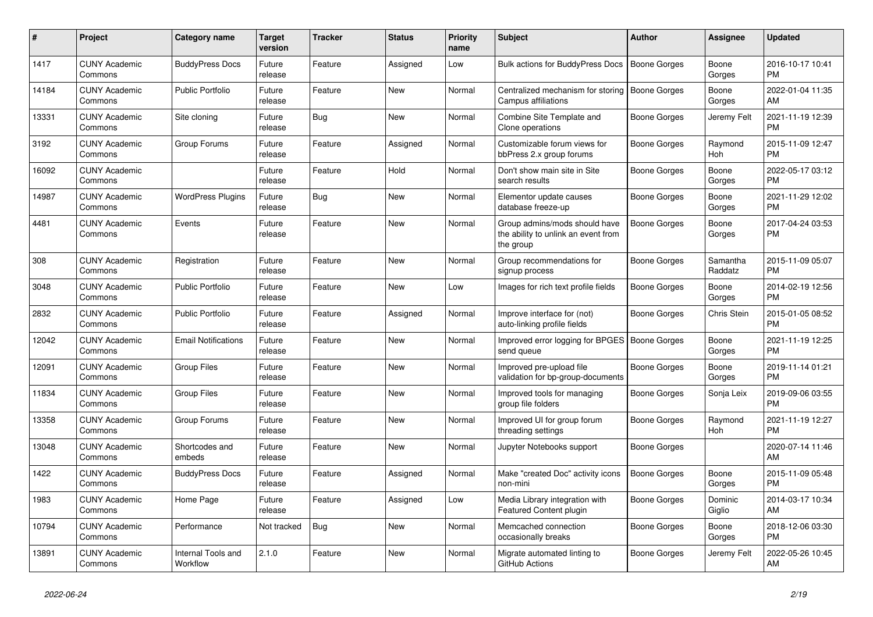| #     | <b>Project</b>                  | <b>Category name</b>           | <b>Target</b><br>version | Tracker    | <b>Status</b> | <b>Priority</b><br>name | <b>Subject</b>                                                                    | <b>Author</b>       | Assignee              | <b>Updated</b>                |
|-------|---------------------------------|--------------------------------|--------------------------|------------|---------------|-------------------------|-----------------------------------------------------------------------------------|---------------------|-----------------------|-------------------------------|
| 1417  | <b>CUNY Academic</b><br>Commons | <b>BuddyPress Docs</b>         | Future<br>release        | Feature    | Assigned      | Low                     | Bulk actions for BuddyPress Docs                                                  | <b>Boone Gorges</b> | Boone<br>Gorges       | 2016-10-17 10:41<br><b>PM</b> |
| 14184 | <b>CUNY Academic</b><br>Commons | <b>Public Portfolio</b>        | Future<br>release        | Feature    | New           | Normal                  | Centralized mechanism for storing  <br>Campus affiliations                        | Boone Gorges        | Boone<br>Gorges       | 2022-01-04 11:35<br>AM        |
| 13331 | <b>CUNY Academic</b><br>Commons | Site cloning                   | Future<br>release        | Bug        | New           | Normal                  | Combine Site Template and<br>Clone operations                                     | Boone Gorges        | Jeremy Felt           | 2021-11-19 12:39<br><b>PM</b> |
| 3192  | <b>CUNY Academic</b><br>Commons | Group Forums                   | Future<br>release        | Feature    | Assigned      | Normal                  | Customizable forum views for<br>bbPress 2.x group forums                          | Boone Gorges        | Raymond<br><b>Hoh</b> | 2015-11-09 12:47<br><b>PM</b> |
| 16092 | <b>CUNY Academic</b><br>Commons |                                | Future<br>release        | Feature    | Hold          | Normal                  | Don't show main site in Site<br>search results                                    | Boone Gorges        | Boone<br>Gorges       | 2022-05-17 03:12<br><b>PM</b> |
| 14987 | <b>CUNY Academic</b><br>Commons | <b>WordPress Plugins</b>       | Future<br>release        | Bug        | <b>New</b>    | Normal                  | Elementor update causes<br>database freeze-up                                     | <b>Boone Gorges</b> | Boone<br>Gorges       | 2021-11-29 12:02<br><b>PM</b> |
| 4481  | <b>CUNY Academic</b><br>Commons | Events                         | Future<br>release        | Feature    | <b>New</b>    | Normal                  | Group admins/mods should have<br>the ability to unlink an event from<br>the group | <b>Boone Gorges</b> | Boone<br>Gorges       | 2017-04-24 03:53<br><b>PM</b> |
| 308   | <b>CUNY Academic</b><br>Commons | Registration                   | Future<br>release        | Feature    | New           | Normal                  | Group recommendations for<br>signup process                                       | Boone Gorges        | Samantha<br>Raddatz   | 2015-11-09 05:07<br><b>PM</b> |
| 3048  | <b>CUNY Academic</b><br>Commons | <b>Public Portfolio</b>        | Future<br>release        | Feature    | <b>New</b>    | Low                     | Images for rich text profile fields                                               | <b>Boone Gorges</b> | Boone<br>Gorges       | 2014-02-19 12:56<br><b>PM</b> |
| 2832  | <b>CUNY Academic</b><br>Commons | <b>Public Portfolio</b>        | Future<br>release        | Feature    | Assigned      | Normal                  | Improve interface for (not)<br>auto-linking profile fields                        | Boone Gorges        | Chris Stein           | 2015-01-05 08:52<br><b>PM</b> |
| 12042 | <b>CUNY Academic</b><br>Commons | <b>Email Notifications</b>     | Future<br>release        | Feature    | <b>New</b>    | Normal                  | Improved error logging for BPGES   Boone Gorges<br>send queue                     |                     | Boone<br>Gorges       | 2021-11-19 12:25<br><b>PM</b> |
| 12091 | <b>CUNY Academic</b><br>Commons | <b>Group Files</b>             | Future<br>release        | Feature    | <b>New</b>    | Normal                  | Improved pre-upload file<br>validation for bp-group-documents                     | Boone Gorges        | Boone<br>Gorges       | 2019-11-14 01:21<br><b>PM</b> |
| 11834 | <b>CUNY Academic</b><br>Commons | <b>Group Files</b>             | Future<br>release        | Feature    | <b>New</b>    | Normal                  | Improved tools for managing<br>group file folders                                 | Boone Gorges        | Sonja Leix            | 2019-09-06 03:55<br><b>PM</b> |
| 13358 | <b>CUNY Academic</b><br>Commons | Group Forums                   | Future<br>release        | Feature    | New           | Normal                  | Improved UI for group forum<br>threading settings                                 | Boone Gorges        | Raymond<br>Hoh        | 2021-11-19 12:27<br><b>PM</b> |
| 13048 | <b>CUNY Academic</b><br>Commons | Shortcodes and<br>embeds       | Future<br>release        | Feature    | New           | Normal                  | Jupyter Notebooks support                                                         | Boone Gorges        |                       | 2020-07-14 11:46<br>AM        |
| 1422  | <b>CUNY Academic</b><br>Commons | <b>BuddyPress Docs</b>         | Future<br>release        | Feature    | Assigned      | Normal                  | Make "created Doc" activity icons<br>non-mini                                     | <b>Boone Gorges</b> | Boone<br>Gorges       | 2015-11-09 05:48<br><b>PM</b> |
| 1983  | <b>CUNY Academic</b><br>Commons | Home Page                      | Future<br>release        | Feature    | Assigned      | Low                     | Media Library integration with<br>Featured Content plugin                         | Boone Gorges        | Dominic<br>Giglio     | 2014-03-17 10:34<br>AM        |
| 10794 | <b>CUNY Academic</b><br>Commons | Performance                    | Not tracked              | <b>Bug</b> | <b>New</b>    | Normal                  | Memcached connection<br>occasionally breaks                                       | Boone Gorges        | Boone<br>Gorges       | 2018-12-06 03:30<br><b>PM</b> |
| 13891 | <b>CUNY Academic</b><br>Commons | Internal Tools and<br>Workflow | 2.1.0                    | Feature    | <b>New</b>    | Normal                  | Migrate automated linting to<br>GitHub Actions                                    | Boone Gorges        | Jeremy Felt           | 2022-05-26 10:45<br>AM        |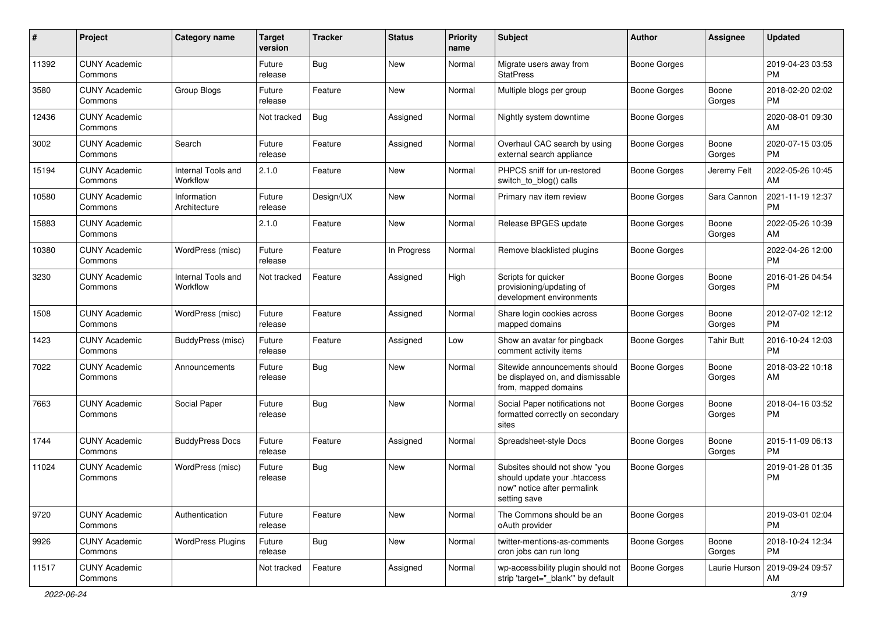| #     | Project                         | <b>Category name</b>           | <b>Target</b><br>version | <b>Tracker</b> | <b>Status</b> | <b>Priority</b><br>name | Subject                                                                                                      | Author              | <b>Assignee</b>   | <b>Updated</b>                |
|-------|---------------------------------|--------------------------------|--------------------------|----------------|---------------|-------------------------|--------------------------------------------------------------------------------------------------------------|---------------------|-------------------|-------------------------------|
| 11392 | <b>CUNY Academic</b><br>Commons |                                | Future<br>release        | Bug            | New           | Normal                  | Migrate users away from<br><b>StatPress</b>                                                                  | <b>Boone Gorges</b> |                   | 2019-04-23 03:53<br><b>PM</b> |
| 3580  | <b>CUNY Academic</b><br>Commons | Group Blogs                    | Future<br>release        | Feature        | New           | Normal                  | Multiple blogs per group                                                                                     | <b>Boone Gorges</b> | Boone<br>Gorges   | 2018-02-20 02:02<br>PМ        |
| 12436 | <b>CUNY Academic</b><br>Commons |                                | Not tracked              | <b>Bug</b>     | Assigned      | Normal                  | Nightly system downtime                                                                                      | <b>Boone Gorges</b> |                   | 2020-08-01 09:30<br>AM        |
| 3002  | <b>CUNY Academic</b><br>Commons | Search                         | Future<br>release        | Feature        | Assigned      | Normal                  | Overhaul CAC search by using<br>external search appliance                                                    | <b>Boone Gorges</b> | Boone<br>Gorges   | 2020-07-15 03:05<br><b>PM</b> |
| 15194 | <b>CUNY Academic</b><br>Commons | Internal Tools and<br>Workflow | 2.1.0                    | Feature        | New           | Normal                  | PHPCS sniff for un-restored<br>switch_to_blog() calls                                                        | Boone Gorges        | Jeremy Felt       | 2022-05-26 10:45<br>AM        |
| 10580 | <b>CUNY Academic</b><br>Commons | Information<br>Architecture    | Future<br>release        | Design/UX      | New           | Normal                  | Primary nav item review                                                                                      | <b>Boone Gorges</b> | Sara Cannon       | 2021-11-19 12:37<br><b>PM</b> |
| 15883 | <b>CUNY Academic</b><br>Commons |                                | 2.1.0                    | Feature        | <b>New</b>    | Normal                  | Release BPGES update                                                                                         | <b>Boone Gorges</b> | Boone<br>Gorges   | 2022-05-26 10:39<br>AM        |
| 10380 | <b>CUNY Academic</b><br>Commons | WordPress (misc)               | Future<br>release        | Feature        | In Progress   | Normal                  | Remove blacklisted plugins                                                                                   | <b>Boone Gorges</b> |                   | 2022-04-26 12:00<br>PM        |
| 3230  | <b>CUNY Academic</b><br>Commons | Internal Tools and<br>Workflow | Not tracked              | Feature        | Assigned      | High                    | Scripts for quicker<br>provisioning/updating of<br>development environments                                  | <b>Boone Gorges</b> | Boone<br>Gorges   | 2016-01-26 04:54<br><b>PM</b> |
| 1508  | <b>CUNY Academic</b><br>Commons | WordPress (misc)               | Future<br>release        | Feature        | Assigned      | Normal                  | Share login cookies across<br>mapped domains                                                                 | <b>Boone Gorges</b> | Boone<br>Gorges   | 2012-07-02 12:12<br><b>PM</b> |
| 1423  | <b>CUNY Academic</b><br>Commons | BuddyPress (misc)              | Future<br>release        | Feature        | Assigned      | Low                     | Show an avatar for pingback<br>comment activity items                                                        | <b>Boone Gorges</b> | <b>Tahir Butt</b> | 2016-10-24 12:03<br>РM        |
| 7022  | <b>CUNY Academic</b><br>Commons | Announcements                  | Future<br>release        | <b>Bug</b>     | New           | Normal                  | Sitewide announcements should<br>be displayed on, and dismissable<br>from, mapped domains                    | Boone Gorges        | Boone<br>Gorges   | 2018-03-22 10:18<br>AM        |
| 7663  | <b>CUNY Academic</b><br>Commons | Social Paper                   | Future<br>release        | <b>Bug</b>     | New           | Normal                  | Social Paper notifications not<br>formatted correctly on secondary<br>sites                                  | <b>Boone Gorges</b> | Boone<br>Gorges   | 2018-04-16 03:52<br><b>PM</b> |
| 1744  | <b>CUNY Academic</b><br>Commons | <b>BuddyPress Docs</b>         | Future<br>release        | Feature        | Assigned      | Normal                  | Spreadsheet-style Docs                                                                                       | <b>Boone Gorges</b> | Boone<br>Gorges   | 2015-11-09 06:13<br><b>PM</b> |
| 11024 | <b>CUNY Academic</b><br>Commons | WordPress (misc)               | Future<br>release        | Bug            | New           | Normal                  | Subsites should not show "you<br>should update your .htaccess<br>now" notice after permalink<br>setting save | Boone Gorges        |                   | 2019-01-28 01:35<br>РM        |
| 9720  | <b>CUNY Academic</b><br>Commons | Authentication                 | Future<br>release        | Feature        | New           | Normal                  | The Commons should be an<br>oAuth provider                                                                   | <b>Boone Gorges</b> |                   | 2019-03-01 02:04<br><b>PM</b> |
| 9926  | <b>CUNY Academic</b><br>Commons | <b>WordPress Plugins</b>       | Future<br>release        | <b>Bug</b>     | New           | Normal                  | twitter-mentions-as-comments<br>cron jobs can run long                                                       | <b>Boone Gorges</b> | Boone<br>Gorges   | 2018-10-24 12:34<br>PM        |
| 11517 | <b>CUNY Academic</b><br>Commons |                                | Not tracked              | Feature        | Assigned      | Normal                  | wp-accessibility plugin should not<br>strip 'target="_blank"' by default                                     | <b>Boone Gorges</b> | Laurie Hurson     | 2019-09-24 09:57<br>AM        |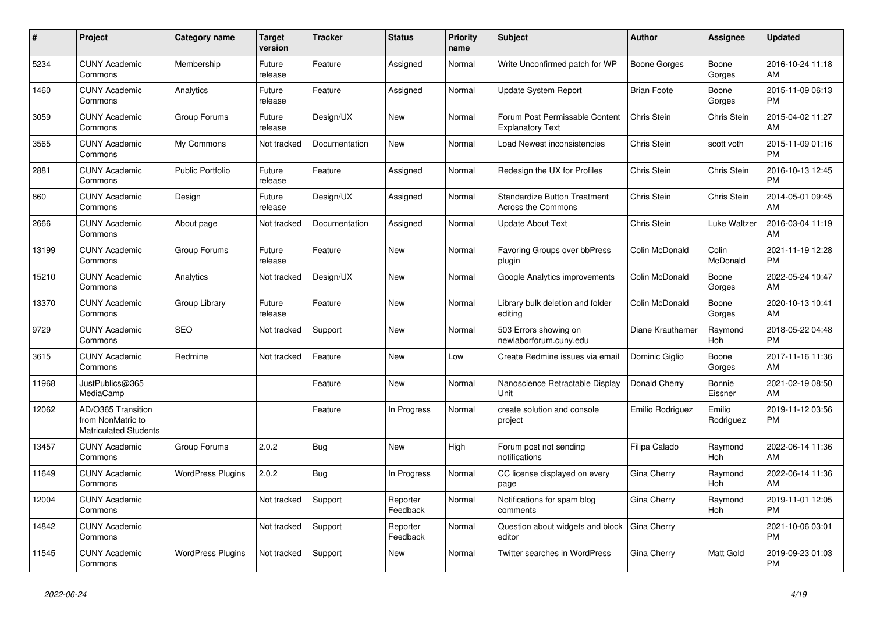| #     | <b>Project</b>                                                          | Category name            | <b>Target</b><br>version | <b>Tracker</b> | <b>Status</b>        | <b>Priority</b><br>name | <b>Subject</b>                                            | <b>Author</b>       | <b>Assignee</b>     | <b>Updated</b>                |
|-------|-------------------------------------------------------------------------|--------------------------|--------------------------|----------------|----------------------|-------------------------|-----------------------------------------------------------|---------------------|---------------------|-------------------------------|
| 5234  | <b>CUNY Academic</b><br>Commons                                         | Membership               | Future<br>release        | Feature        | Assigned             | Normal                  | Write Unconfirmed patch for WP                            | <b>Boone Gorges</b> | Boone<br>Gorges     | 2016-10-24 11:18<br>AM        |
| 1460  | <b>CUNY Academic</b><br>Commons                                         | Analytics                | Future<br>release        | Feature        | Assigned             | Normal                  | Update System Report                                      | <b>Brian Foote</b>  | Boone<br>Gorges     | 2015-11-09 06:13<br><b>PM</b> |
| 3059  | <b>CUNY Academic</b><br>Commons                                         | Group Forums             | Future<br>release        | Design/UX      | <b>New</b>           | Normal                  | Forum Post Permissable Content<br><b>Explanatory Text</b> | Chris Stein         | Chris Stein         | 2015-04-02 11:27<br>AM        |
| 3565  | <b>CUNY Academic</b><br>Commons                                         | My Commons               | Not tracked              | Documentation  | <b>New</b>           | Normal                  | Load Newest inconsistencies                               | Chris Stein         | scott voth          | 2015-11-09 01:16<br><b>PM</b> |
| 2881  | <b>CUNY Academic</b><br>Commons                                         | <b>Public Portfolio</b>  | Future<br>release        | Feature        | Assigned             | Normal                  | Redesign the UX for Profiles                              | <b>Chris Stein</b>  | Chris Stein         | 2016-10-13 12:45<br><b>PM</b> |
| 860   | <b>CUNY Academic</b><br>Commons                                         | Design                   | Future<br>release        | Design/UX      | Assigned             | Normal                  | <b>Standardize Button Treatment</b><br>Across the Commons | Chris Stein         | Chris Stein         | 2014-05-01 09:45<br>AM        |
| 2666  | <b>CUNY Academic</b><br>Commons                                         | About page               | Not tracked              | Documentation  | Assigned             | Normal                  | <b>Update About Text</b>                                  | Chris Stein         | Luke Waltzer        | 2016-03-04 11:19<br>AM        |
| 13199 | <b>CUNY Academic</b><br>Commons                                         | Group Forums             | Future<br>release        | Feature        | <b>New</b>           | Normal                  | <b>Favoring Groups over bbPress</b><br>plugin             | Colin McDonald      | Colin<br>McDonald   | 2021-11-19 12:28<br><b>PM</b> |
| 15210 | <b>CUNY Academic</b><br>Commons                                         | Analytics                | Not tracked              | Design/UX      | <b>New</b>           | Normal                  | Google Analytics improvements                             | Colin McDonald      | Boone<br>Gorges     | 2022-05-24 10:47<br>AM        |
| 13370 | <b>CUNY Academic</b><br>Commons                                         | Group Library            | Future<br>release        | Feature        | <b>New</b>           | Normal                  | Library bulk deletion and folder<br>editing               | Colin McDonald      | Boone<br>Gorges     | 2020-10-13 10:41<br>AM        |
| 9729  | <b>CUNY Academic</b><br>Commons                                         | <b>SEO</b>               | Not tracked              | Support        | <b>New</b>           | Normal                  | 503 Errors showing on<br>newlaborforum.cuny.edu           | Diane Krauthamer    | Raymond<br>Hoh      | 2018-05-22 04:48<br><b>PM</b> |
| 3615  | <b>CUNY Academic</b><br>Commons                                         | Redmine                  | Not tracked              | Feature        | <b>New</b>           | Low                     | Create Redmine issues via email                           | Dominic Giglio      | Boone<br>Gorges     | 2017-11-16 11:36<br>AM        |
| 11968 | JustPublics@365<br>MediaCamp                                            |                          |                          | Feature        | <b>New</b>           | Normal                  | Nanoscience Retractable Display<br>Unit                   | Donald Cherry       | Bonnie<br>Eissner   | 2021-02-19 08:50<br>AM        |
| 12062 | AD/O365 Transition<br>from NonMatric to<br><b>Matriculated Students</b> |                          |                          | Feature        | In Progress          | Normal                  | create solution and console<br>project                    | Emilio Rodriguez    | Emilio<br>Rodriguez | 2019-11-12 03:56<br><b>PM</b> |
| 13457 | <b>CUNY Academic</b><br>Commons                                         | Group Forums             | 2.0.2                    | Bug            | <b>New</b>           | High                    | Forum post not sending<br>notifications                   | Filipa Calado       | Raymond<br>Hoh      | 2022-06-14 11:36<br>AM        |
| 11649 | <b>CUNY Academic</b><br>Commons                                         | <b>WordPress Plugins</b> | 2.0.2                    | Bug            | In Progress          | Normal                  | CC license displayed on every<br>page                     | Gina Cherry         | Raymond<br>Hoh      | 2022-06-14 11:36<br>AM        |
| 12004 | <b>CUNY Academic</b><br>Commons                                         |                          | Not tracked              | Support        | Reporter<br>Feedback | Normal                  | Notifications for spam blog<br>comments                   | Gina Cherry         | Raymond<br>Hoh      | 2019-11-01 12:05<br><b>PM</b> |
| 14842 | <b>CUNY Academic</b><br>Commons                                         |                          | Not tracked              | Support        | Reporter<br>Feedback | Normal                  | Question about widgets and block<br>editor                | Gina Cherry         |                     | 2021-10-06 03:01<br><b>PM</b> |
| 11545 | <b>CUNY Academic</b><br>Commons                                         | <b>WordPress Plugins</b> | Not tracked              | Support        | <b>New</b>           | Normal                  | <b>Twitter searches in WordPress</b>                      | Gina Cherry         | Matt Gold           | 2019-09-23 01:03<br><b>PM</b> |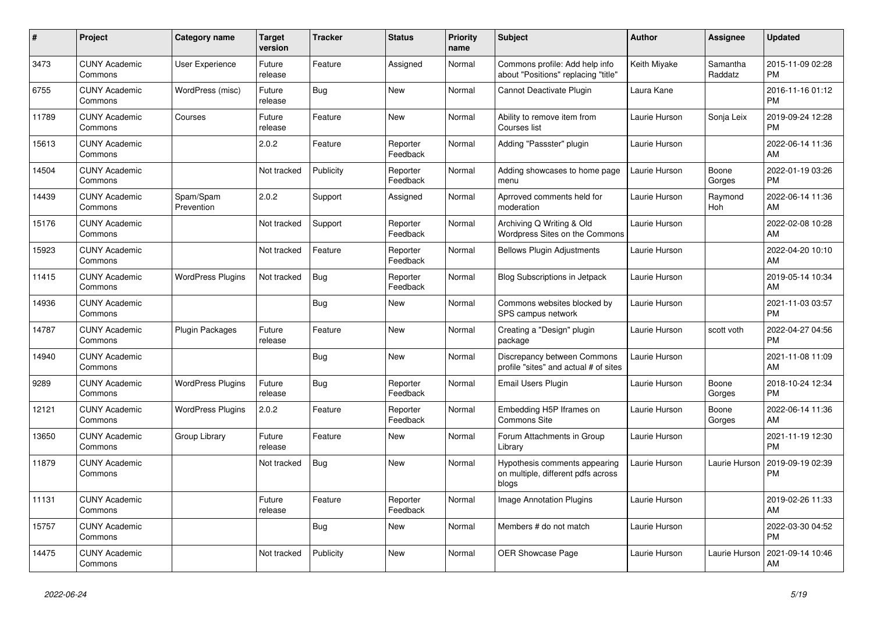| #     | Project                         | <b>Category name</b>     | <b>Target</b><br>version | <b>Tracker</b> | <b>Status</b>        | <b>Priority</b><br>name | <b>Subject</b>                                                               | <b>Author</b> | Assignee            | <b>Updated</b>                |
|-------|---------------------------------|--------------------------|--------------------------|----------------|----------------------|-------------------------|------------------------------------------------------------------------------|---------------|---------------------|-------------------------------|
| 3473  | <b>CUNY Academic</b><br>Commons | <b>User Experience</b>   | Future<br>release        | Feature        | Assigned             | Normal                  | Commons profile: Add help info<br>about "Positions" replacing "title"        | Keith Miyake  | Samantha<br>Raddatz | 2015-11-09 02:28<br><b>PM</b> |
| 6755  | <b>CUNY Academic</b><br>Commons | WordPress (misc)         | Future<br>release        | Bug            | <b>New</b>           | Normal                  | Cannot Deactivate Plugin                                                     | Laura Kane    |                     | 2016-11-16 01:12<br><b>PM</b> |
| 11789 | <b>CUNY Academic</b><br>Commons | Courses                  | Future<br>release        | Feature        | <b>New</b>           | Normal                  | Ability to remove item from<br>Courses list                                  | Laurie Hurson | Sonja Leix          | 2019-09-24 12:28<br><b>PM</b> |
| 15613 | <b>CUNY Academic</b><br>Commons |                          | 2.0.2                    | Feature        | Reporter<br>Feedback | Normal                  | Adding "Passster" plugin                                                     | Laurie Hurson |                     | 2022-06-14 11:36<br>AM        |
| 14504 | <b>CUNY Academic</b><br>Commons |                          | Not tracked              | Publicity      | Reporter<br>Feedback | Normal                  | Adding showcases to home page<br>menu                                        | Laurie Hurson | Boone<br>Gorges     | 2022-01-19 03:26<br><b>PM</b> |
| 14439 | <b>CUNY Academic</b><br>Commons | Spam/Spam<br>Prevention  | 2.0.2                    | Support        | Assigned             | Normal                  | Aprroved comments held for<br>moderation                                     | Laurie Hurson | Raymond<br>Hoh      | 2022-06-14 11:36<br>AM        |
| 15176 | <b>CUNY Academic</b><br>Commons |                          | Not tracked              | Support        | Reporter<br>Feedback | Normal                  | Archiving Q Writing & Old<br>Wordpress Sites on the Commons                  | Laurie Hurson |                     | 2022-02-08 10:28<br>AM        |
| 15923 | <b>CUNY Academic</b><br>Commons |                          | Not tracked              | Feature        | Reporter<br>Feedback | Normal                  | <b>Bellows Plugin Adjustments</b>                                            | Laurie Hurson |                     | 2022-04-20 10:10<br>AM        |
| 11415 | <b>CUNY Academic</b><br>Commons | <b>WordPress Plugins</b> | Not tracked              | <b>Bug</b>     | Reporter<br>Feedback | Normal                  | Blog Subscriptions in Jetpack                                                | Laurie Hurson |                     | 2019-05-14 10:34<br>AM        |
| 14936 | <b>CUNY Academic</b><br>Commons |                          |                          | <b>Bug</b>     | <b>New</b>           | Normal                  | Commons websites blocked by<br>SPS campus network                            | Laurie Hurson |                     | 2021-11-03 03:57<br><b>PM</b> |
| 14787 | <b>CUNY Academic</b><br>Commons | <b>Plugin Packages</b>   | Future<br>release        | Feature        | <b>New</b>           | Normal                  | Creating a "Design" plugin<br>package                                        | Laurie Hurson | scott voth          | 2022-04-27 04:56<br><b>PM</b> |
| 14940 | <b>CUNY Academic</b><br>Commons |                          |                          | Bug            | New                  | Normal                  | Discrepancy between Commons<br>profile "sites" and actual # of sites         | Laurie Hurson |                     | 2021-11-08 11:09<br>AM        |
| 9289  | <b>CUNY Academic</b><br>Commons | <b>WordPress Plugins</b> | Future<br>release        | Bug            | Reporter<br>Feedback | Normal                  | Email Users Plugin                                                           | Laurie Hurson | Boone<br>Gorges     | 2018-10-24 12:34<br><b>PM</b> |
| 12121 | <b>CUNY Academic</b><br>Commons | <b>WordPress Plugins</b> | 2.0.2                    | Feature        | Reporter<br>Feedback | Normal                  | Embedding H5P Iframes on<br><b>Commons Site</b>                              | Laurie Hurson | Boone<br>Gorges     | 2022-06-14 11:36<br>AM        |
| 13650 | <b>CUNY Academic</b><br>Commons | Group Library            | Future<br>release        | Feature        | <b>New</b>           | Normal                  | Forum Attachments in Group<br>Library                                        | Laurie Hurson |                     | 2021-11-19 12:30<br><b>PM</b> |
| 11879 | <b>CUNY Academic</b><br>Commons |                          | Not tracked              | Bug            | <b>New</b>           | Normal                  | Hypothesis comments appearing<br>on multiple, different pdfs across<br>blogs | Laurie Hurson | Laurie Hurson       | 2019-09-19 02:39<br><b>PM</b> |
| 11131 | <b>CUNY Academic</b><br>Commons |                          | Future<br>release        | Feature        | Reporter<br>Feedback | Normal                  | <b>Image Annotation Plugins</b>                                              | Laurie Hurson |                     | 2019-02-26 11:33<br>AM        |
| 15757 | <b>CUNY Academic</b><br>Commons |                          |                          | <b>Bug</b>     | New                  | Normal                  | Members # do not match                                                       | Laurie Hurson |                     | 2022-03-30 04:52<br><b>PM</b> |
| 14475 | <b>CUNY Academic</b><br>Commons |                          | Not tracked              | Publicity      | <b>New</b>           | Normal                  | OER Showcase Page                                                            | Laurie Hurson | Laurie Hurson       | 2021-09-14 10:46<br>AM        |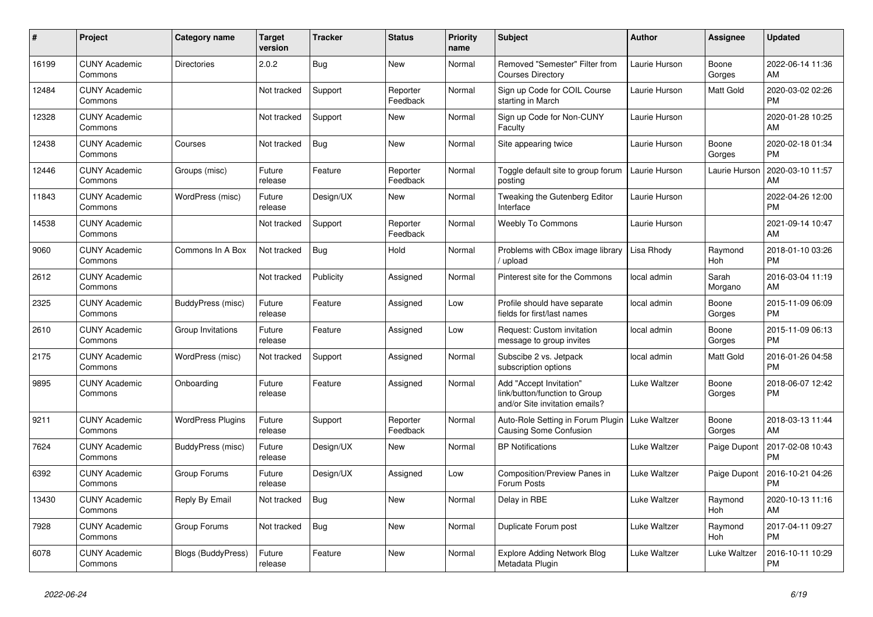| #     | <b>Project</b>                  | <b>Category name</b>      | <b>Target</b><br>version | Tracker    | <b>Status</b>        | <b>Priority</b><br>name | <b>Subject</b>                                                                             | <b>Author</b> | <b>Assignee</b>  | <b>Updated</b>                |
|-------|---------------------------------|---------------------------|--------------------------|------------|----------------------|-------------------------|--------------------------------------------------------------------------------------------|---------------|------------------|-------------------------------|
| 16199 | <b>CUNY Academic</b><br>Commons | <b>Directories</b>        | 2.0.2                    | <b>Bug</b> | <b>New</b>           | Normal                  | Removed "Semester" Filter from<br><b>Courses Directory</b>                                 | Laurie Hurson | Boone<br>Gorges  | 2022-06-14 11:36<br>AM        |
| 12484 | <b>CUNY Academic</b><br>Commons |                           | Not tracked              | Support    | Reporter<br>Feedback | Normal                  | Sign up Code for COIL Course<br>starting in March                                          | Laurie Hurson | Matt Gold        | 2020-03-02 02:26<br><b>PM</b> |
| 12328 | <b>CUNY Academic</b><br>Commons |                           | Not tracked              | Support    | New                  | Normal                  | Sign up Code for Non-CUNY<br>Faculty                                                       | Laurie Hurson |                  | 2020-01-28 10:25<br>AM        |
| 12438 | <b>CUNY Academic</b><br>Commons | Courses                   | Not tracked              | <b>Bug</b> | <b>New</b>           | Normal                  | Site appearing twice                                                                       | Laurie Hurson | Boone<br>Gorges  | 2020-02-18 01:34<br><b>PM</b> |
| 12446 | <b>CUNY Academic</b><br>Commons | Groups (misc)             | Future<br>release        | Feature    | Reporter<br>Feedback | Normal                  | Toggle default site to group forum<br>posting                                              | Laurie Hurson | Laurie Hurson    | 2020-03-10 11:57<br>AM        |
| 11843 | <b>CUNY Academic</b><br>Commons | WordPress (misc)          | Future<br>release        | Design/UX  | <b>New</b>           | Normal                  | Tweaking the Gutenberg Editor<br>Interface                                                 | Laurie Hurson |                  | 2022-04-26 12:00<br><b>PM</b> |
| 14538 | <b>CUNY Academic</b><br>Commons |                           | Not tracked              | Support    | Reporter<br>Feedback | Normal                  | Weebly To Commons                                                                          | Laurie Hurson |                  | 2021-09-14 10:47<br>AM        |
| 9060  | <b>CUNY Academic</b><br>Commons | Commons In A Box          | Not tracked              | <b>Bug</b> | Hold                 | Normal                  | Problems with CBox image library<br>upload                                                 | Lisa Rhody    | Raymond<br>Hoh   | 2018-01-10 03:26<br><b>PM</b> |
| 2612  | <b>CUNY Academic</b><br>Commons |                           | Not tracked              | Publicity  | Assigned             | Normal                  | Pinterest site for the Commons                                                             | local admin   | Sarah<br>Morgano | 2016-03-04 11:19<br>AM        |
| 2325  | <b>CUNY Academic</b><br>Commons | BuddyPress (misc)         | Future<br>release        | Feature    | Assigned             | Low                     | Profile should have separate<br>fields for first/last names                                | local admin   | Boone<br>Gorges  | 2015-11-09 06:09<br><b>PM</b> |
| 2610  | <b>CUNY Academic</b><br>Commons | Group Invitations         | Future<br>release        | Feature    | Assigned             | Low                     | Request: Custom invitation<br>message to group invites                                     | local admin   | Boone<br>Gorges  | 2015-11-09 06:13<br><b>PM</b> |
| 2175  | <b>CUNY Academic</b><br>Commons | WordPress (misc)          | Not tracked              | Support    | Assigned             | Normal                  | Subscibe 2 vs. Jetpack<br>subscription options                                             | local admin   | Matt Gold        | 2016-01-26 04:58<br><b>PM</b> |
| 9895  | <b>CUNY Academic</b><br>Commons | Onboarding                | Future<br>release        | Feature    | Assigned             | Normal                  | Add "Accept Invitation"<br>link/button/function to Group<br>and/or Site invitation emails? | Luke Waltzer  | Boone<br>Gorges  | 2018-06-07 12:42<br><b>PM</b> |
| 9211  | <b>CUNY Academic</b><br>Commons | <b>WordPress Plugins</b>  | Future<br>release        | Support    | Reporter<br>Feedback | Normal                  | Auto-Role Setting in Forum Plugin<br>Causing Some Confusion                                | Luke Waltzer  | Boone<br>Gorges  | 2018-03-13 11:44<br>AM        |
| 7624  | <b>CUNY Academic</b><br>Commons | BuddyPress (misc)         | Future<br>release        | Design/UX  | New                  | Normal                  | <b>BP</b> Notifications                                                                    | Luke Waltzer  | Paige Dupont     | 2017-02-08 10:43<br><b>PM</b> |
| 6392  | <b>CUNY Academic</b><br>Commons | Group Forums              | Future<br>release        | Design/UX  | Assigned             | Low                     | Composition/Preview Panes in<br>Forum Posts                                                | Luke Waltzer  | Paige Dupont     | 2016-10-21 04:26<br><b>PM</b> |
| 13430 | <b>CUNY Academic</b><br>Commons | Reply By Email            | Not tracked              | Bug        | <b>New</b>           | Normal                  | Delay in RBE                                                                               | Luke Waltzer  | Raymond<br>Hoh   | 2020-10-13 11:16<br>AM        |
| 7928  | <b>CUNY Academic</b><br>Commons | Group Forums              | Not tracked              | <b>Bug</b> | <b>New</b>           | Normal                  | Duplicate Forum post                                                                       | Luke Waltzer  | Raymond<br>Hoh   | 2017-04-11 09:27<br><b>PM</b> |
| 6078  | <b>CUNY Academic</b><br>Commons | <b>Blogs (BuddyPress)</b> | Future<br>release        | Feature    | <b>New</b>           | Normal                  | <b>Explore Adding Network Blog</b><br>Metadata Plugin                                      | Luke Waltzer  | Luke Waltzer     | 2016-10-11 10:29<br><b>PM</b> |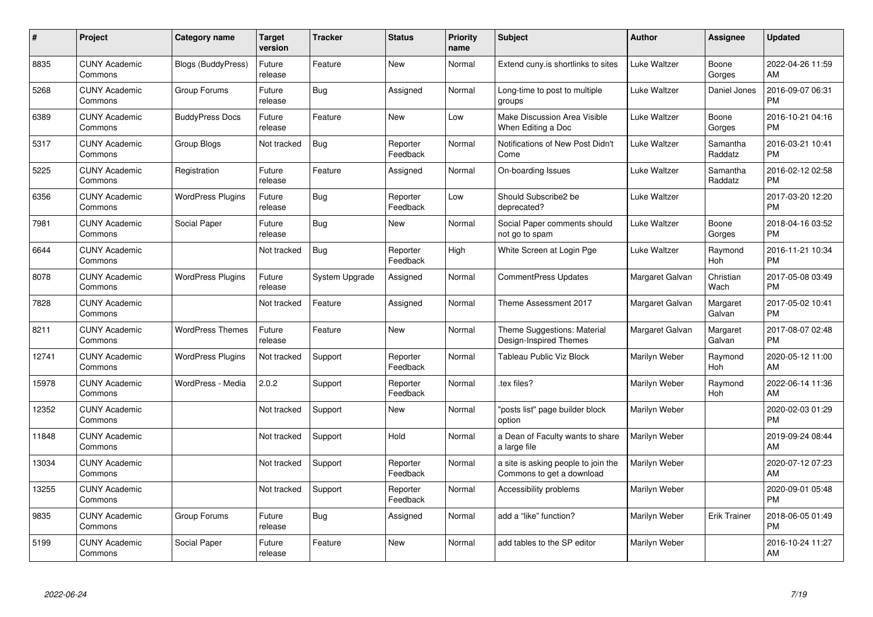| #     | Project                         | <b>Category name</b>     | Target<br>version | <b>Tracker</b> | <b>Status</b>        | <b>Priority</b><br>name | <b>Subject</b>                                                   | <b>Author</b>   | <b>Assignee</b>     | <b>Updated</b>                |
|-------|---------------------------------|--------------------------|-------------------|----------------|----------------------|-------------------------|------------------------------------------------------------------|-----------------|---------------------|-------------------------------|
| 8835  | <b>CUNY Academic</b><br>Commons | Blogs (BuddyPress)       | Future<br>release | Feature        | <b>New</b>           | Normal                  | Extend cuny.is shortlinks to sites                               | Luke Waltzer    | Boone<br>Gorges     | 2022-04-26 11:59<br>AM        |
| 5268  | <b>CUNY Academic</b><br>Commons | Group Forums             | Future<br>release | Bug            | Assigned             | Normal                  | Long-time to post to multiple<br>groups                          | Luke Waltzer    | Daniel Jones        | 2016-09-07 06:31<br><b>PM</b> |
| 6389  | <b>CUNY Academic</b><br>Commons | <b>BuddyPress Docs</b>   | Future<br>release | Feature        | New                  | Low                     | Make Discussion Area Visible<br>When Editing a Doc               | Luke Waltzer    | Boone<br>Gorges     | 2016-10-21 04:16<br><b>PM</b> |
| 5317  | <b>CUNY Academic</b><br>Commons | Group Blogs              | Not tracked       | Bug            | Reporter<br>Feedback | Normal                  | Notifications of New Post Didn't<br>Come                         | Luke Waltzer    | Samantha<br>Raddatz | 2016-03-21 10:41<br><b>PM</b> |
| 5225  | <b>CUNY Academic</b><br>Commons | Registration             | Future<br>release | Feature        | Assigned             | Normal                  | On-boarding Issues                                               | Luke Waltzer    | Samantha<br>Raddatz | 2016-02-12 02:58<br><b>PM</b> |
| 6356  | <b>CUNY Academic</b><br>Commons | <b>WordPress Plugins</b> | Future<br>release | Bug            | Reporter<br>Feedback | Low                     | Should Subscribe2 be<br>deprecated?                              | Luke Waltzer    |                     | 2017-03-20 12:20<br><b>PM</b> |
| 7981  | <b>CUNY Academic</b><br>Commons | Social Paper             | Future<br>release | <b>Bug</b>     | <b>New</b>           | Normal                  | Social Paper comments should<br>not go to spam                   | Luke Waltzer    | Boone<br>Gorges     | 2018-04-16 03:52<br><b>PM</b> |
| 6644  | <b>CUNY Academic</b><br>Commons |                          | Not tracked       | <b>Bug</b>     | Reporter<br>Feedback | High                    | White Screen at Login Pge                                        | Luke Waltzer    | Raymond<br>Hoh      | 2016-11-21 10:34<br><b>PM</b> |
| 8078  | <b>CUNY Academic</b><br>Commons | <b>WordPress Plugins</b> | Future<br>release | System Upgrade | Assigned             | Normal                  | CommentPress Updates                                             | Margaret Galvan | Christian<br>Wach   | 2017-05-08 03:49<br><b>PM</b> |
| 7828  | <b>CUNY Academic</b><br>Commons |                          | Not tracked       | Feature        | Assigned             | Normal                  | Theme Assessment 2017                                            | Margaret Galvan | Margaret<br>Galvan  | 2017-05-02 10:41<br><b>PM</b> |
| 8211  | <b>CUNY Academic</b><br>Commons | <b>WordPress Themes</b>  | Future<br>release | Feature        | <b>New</b>           | Normal                  | Theme Suggestions: Material<br>Design-Inspired Themes            | Margaret Galvan | Margaret<br>Galvan  | 2017-08-07 02:48<br><b>PM</b> |
| 12741 | <b>CUNY Academic</b><br>Commons | <b>WordPress Plugins</b> | Not tracked       | Support        | Reporter<br>Feedback | Normal                  | <b>Tableau Public Viz Block</b>                                  | Marilyn Weber   | Raymond<br>Hoh      | 2020-05-12 11:00<br>AM        |
| 15978 | <b>CUNY Academic</b><br>Commons | WordPress - Media        | 2.0.2             | Support        | Reporter<br>Feedback | Normal                  | tex files?                                                       | Marilyn Weber   | Raymond<br>Hoh      | 2022-06-14 11:36<br>AM        |
| 12352 | <b>CUNY Academic</b><br>Commons |                          | Not tracked       | Support        | <b>New</b>           | Normal                  | 'posts list" page builder block<br>option                        | Marilyn Weber   |                     | 2020-02-03 01:29<br><b>PM</b> |
| 11848 | <b>CUNY Academic</b><br>Commons |                          | Not tracked       | Support        | Hold                 | Normal                  | a Dean of Faculty wants to share<br>a large file                 | Marilyn Weber   |                     | 2019-09-24 08:44<br>AM        |
| 13034 | <b>CUNY Academic</b><br>Commons |                          | Not tracked       | Support        | Reporter<br>Feedback | Normal                  | a site is asking people to join the<br>Commons to get a download | Marilyn Weber   |                     | 2020-07-12 07:23<br>AM        |
| 13255 | <b>CUNY Academic</b><br>Commons |                          | Not tracked       | Support        | Reporter<br>Feedback | Normal                  | Accessibility problems                                           | Marilyn Weber   |                     | 2020-09-01 05:48<br><b>PM</b> |
| 9835  | <b>CUNY Academic</b><br>Commons | Group Forums             | Future<br>release | Bug            | Assigned             | Normal                  | add a "like" function?                                           | Marilyn Weber   | <b>Erik Trainer</b> | 2018-06-05 01:49<br><b>PM</b> |
| 5199  | <b>CUNY Academic</b><br>Commons | Social Paper             | Future<br>release | Feature        | <b>New</b>           | Normal                  | add tables to the SP editor                                      | Marilyn Weber   |                     | 2016-10-24 11:27<br>AM        |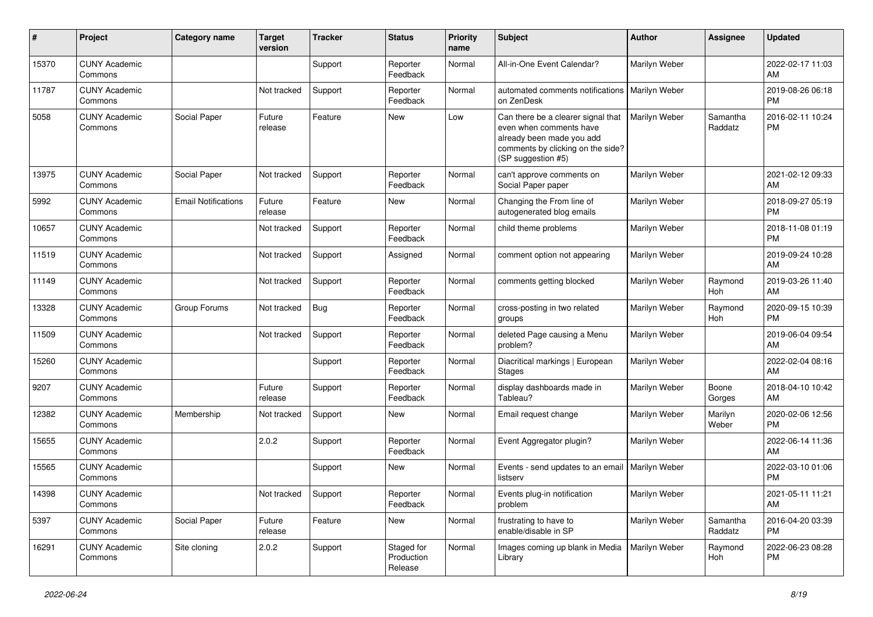| #     | Project                         | <b>Category name</b>       | Target<br>version   | Tracker | <b>Status</b>                       | <b>Priority</b><br>name | <b>Subject</b>                                                                                                                                        | <b>Author</b>        | <b>Assignee</b>     | <b>Updated</b>                |
|-------|---------------------------------|----------------------------|---------------------|---------|-------------------------------------|-------------------------|-------------------------------------------------------------------------------------------------------------------------------------------------------|----------------------|---------------------|-------------------------------|
| 15370 | <b>CUNY Academic</b><br>Commons |                            |                     | Support | Reporter<br>Feedback                | Normal                  | All-in-One Event Calendar?                                                                                                                            | Marilyn Weber        |                     | 2022-02-17 11:03<br>AM        |
| 11787 | <b>CUNY Academic</b><br>Commons |                            | Not tracked         | Support | Reporter<br>Feedback                | Normal                  | automated comments notifications<br>on ZenDesk                                                                                                        | <b>Marilyn Weber</b> |                     | 2019-08-26 06:18<br><b>PM</b> |
| 5058  | <b>CUNY Academic</b><br>Commons | Social Paper               | Future<br>release   | Feature | New                                 | Low                     | Can there be a clearer signal that<br>even when comments have<br>already been made you add<br>comments by clicking on the side?<br>(SP suggestion #5) | Marilyn Weber        | Samantha<br>Raddatz | 2016-02-11 10:24<br><b>PM</b> |
| 13975 | <b>CUNY Academic</b><br>Commons | Social Paper               | Not tracked         | Support | Reporter<br>Feedback                | Normal                  | can't approve comments on<br>Social Paper paper                                                                                                       | Marilyn Weber        |                     | 2021-02-12 09:33<br>AM        |
| 5992  | <b>CUNY Academic</b><br>Commons | <b>Email Notifications</b> | Future<br>release   | Feature | New                                 | Normal                  | Changing the From line of<br>autogenerated blog emails                                                                                                | Marilyn Weber        |                     | 2018-09-27 05:19<br><b>PM</b> |
| 10657 | <b>CUNY Academic</b><br>Commons |                            | Not tracked         | Support | Reporter<br>Feedback                | Normal                  | child theme problems                                                                                                                                  | Marilyn Weber        |                     | 2018-11-08 01:19<br><b>PM</b> |
| 11519 | <b>CUNY Academic</b><br>Commons |                            | Not tracked         | Support | Assigned                            | Normal                  | comment option not appearing                                                                                                                          | Marilyn Weber        |                     | 2019-09-24 10:28<br>AM        |
| 11149 | <b>CUNY Academic</b><br>Commons |                            | Not tracked         | Support | Reporter<br>Feedback                | Normal                  | comments getting blocked                                                                                                                              | Marilyn Weber        | Raymond<br>Hoh      | 2019-03-26 11:40<br>AM        |
| 13328 | <b>CUNY Academic</b><br>Commons | Group Forums               | Not tracked         | Bug     | Reporter<br>Feedback                | Normal                  | cross-posting in two related<br>groups                                                                                                                | Marilyn Weber        | Raymond<br>Hoh      | 2020-09-15 10:39<br><b>PM</b> |
| 11509 | <b>CUNY Academic</b><br>Commons |                            | Not tracked         | Support | Reporter<br>Feedback                | Normal                  | deleted Page causing a Menu<br>problem?                                                                                                               | Marilyn Weber        |                     | 2019-06-04 09:54<br>AM        |
| 15260 | <b>CUNY Academic</b><br>Commons |                            |                     | Support | Reporter<br>Feedback                | Normal                  | Diacritical markings   European<br><b>Stages</b>                                                                                                      | Marilyn Weber        |                     | 2022-02-04 08:16<br>AM        |
| 9207  | <b>CUNY Academic</b><br>Commons |                            | Future<br>release   | Support | Reporter<br>Feedback                | Normal                  | display dashboards made in<br>Tableau?                                                                                                                | Marilyn Weber        | Boone<br>Gorges     | 2018-04-10 10:42<br>AM        |
| 12382 | <b>CUNY Academic</b><br>Commons | Membership                 | Not tracked         | Support | New                                 | Normal                  | Email request change                                                                                                                                  | Marilyn Weber        | Marilyn<br>Weber    | 2020-02-06 12:56<br><b>PM</b> |
| 15655 | <b>CUNY Academic</b><br>Commons |                            | 2.0.2               | Support | Reporter<br>Feedback                | Normal                  | Event Aggregator plugin?                                                                                                                              | Marilyn Weber        |                     | 2022-06-14 11:36<br>AM        |
| 15565 | <b>CUNY Academic</b><br>Commons |                            |                     | Support | New                                 | Normal                  | Events - send updates to an email<br>listserv                                                                                                         | <b>Marilyn Weber</b> |                     | 2022-03-10 01:06<br><b>PM</b> |
| 14398 | <b>CUNY Academic</b><br>Commons |                            | Not tracked Support |         | Reporter<br>Feedback                | Normal                  | Events plug-in notification<br>problem                                                                                                                | Marilyn Weber        |                     | 2021-05-11 11:21<br>AM        |
| 5397  | <b>CUNY Academic</b><br>Commons | Social Paper               | Future<br>release   | Feature | New                                 | Normal                  | frustrating to have to<br>enable/disable in SP                                                                                                        | Marilyn Weber        | Samantha<br>Raddatz | 2016-04-20 03:39<br>PM        |
| 16291 | <b>CUNY Academic</b><br>Commons | Site cloning               | 2.0.2               | Support | Staged for<br>Production<br>Release | Normal                  | Images coming up blank in Media<br>Library                                                                                                            | Marilyn Weber        | Raymond<br>Hoh      | 2022-06-23 08:28<br><b>PM</b> |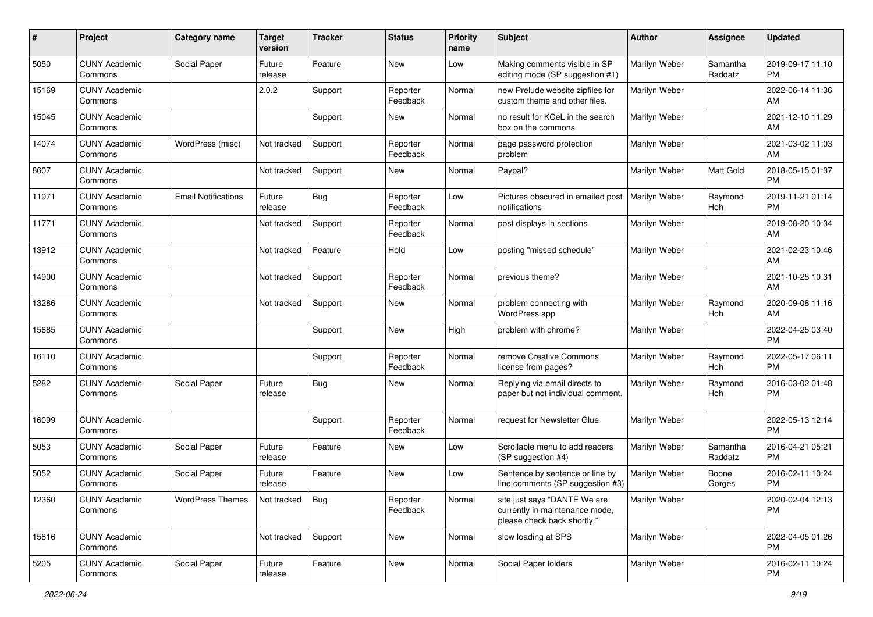| #     | Project                         | <b>Category name</b>       | Target<br>version | <b>Tracker</b> | <b>Status</b>        | <b>Priority</b><br>name | <b>Subject</b>                                                                                | <b>Author</b> | Assignee            | <b>Updated</b>                |
|-------|---------------------------------|----------------------------|-------------------|----------------|----------------------|-------------------------|-----------------------------------------------------------------------------------------------|---------------|---------------------|-------------------------------|
| 5050  | <b>CUNY Academic</b><br>Commons | Social Paper               | Future<br>release | Feature        | <b>New</b>           | Low                     | Making comments visible in SP<br>editing mode (SP suggestion #1)                              | Marilyn Weber | Samantha<br>Raddatz | 2019-09-17 11:10<br><b>PM</b> |
| 15169 | <b>CUNY Academic</b><br>Commons |                            | 2.0.2             | Support        | Reporter<br>Feedback | Normal                  | new Prelude website zipfiles for<br>custom theme and other files.                             | Marilyn Weber |                     | 2022-06-14 11:36<br>AM        |
| 15045 | <b>CUNY Academic</b><br>Commons |                            |                   | Support        | New                  | Normal                  | no result for KCeL in the search<br>box on the commons                                        | Marilyn Weber |                     | 2021-12-10 11:29<br>AM        |
| 14074 | <b>CUNY Academic</b><br>Commons | WordPress (misc)           | Not tracked       | Support        | Reporter<br>Feedback | Normal                  | page password protection<br>problem                                                           | Marilyn Weber |                     | 2021-03-02 11:03<br>AM        |
| 8607  | <b>CUNY Academic</b><br>Commons |                            | Not tracked       | Support        | New                  | Normal                  | Paypal?                                                                                       | Marilyn Weber | <b>Matt Gold</b>    | 2018-05-15 01:37<br><b>PM</b> |
| 11971 | <b>CUNY Academic</b><br>Commons | <b>Email Notifications</b> | Future<br>release | Bug            | Reporter<br>Feedback | Low                     | Pictures obscured in emailed post<br>notifications                                            | Marilyn Weber | Raymond<br>Hoh      | 2019-11-21 01:14<br><b>PM</b> |
| 11771 | <b>CUNY Academic</b><br>Commons |                            | Not tracked       | Support        | Reporter<br>Feedback | Normal                  | post displays in sections                                                                     | Marilyn Weber |                     | 2019-08-20 10:34<br>AM        |
| 13912 | <b>CUNY Academic</b><br>Commons |                            | Not tracked       | Feature        | Hold                 | Low                     | posting "missed schedule"                                                                     | Marilyn Weber |                     | 2021-02-23 10:46<br>AM        |
| 14900 | <b>CUNY Academic</b><br>Commons |                            | Not tracked       | Support        | Reporter<br>Feedback | Normal                  | previous theme?                                                                               | Marilyn Weber |                     | 2021-10-25 10:31<br>AM        |
| 13286 | <b>CUNY Academic</b><br>Commons |                            | Not tracked       | Support        | New                  | Normal                  | problem connecting with<br>WordPress app                                                      | Marilyn Weber | Raymond<br>Hoh      | 2020-09-08 11:16<br>AM        |
| 15685 | <b>CUNY Academic</b><br>Commons |                            |                   | Support        | <b>New</b>           | High                    | problem with chrome?                                                                          | Marilyn Weber |                     | 2022-04-25 03:40<br><b>PM</b> |
| 16110 | <b>CUNY Academic</b><br>Commons |                            |                   | Support        | Reporter<br>Feedback | Normal                  | remove Creative Commons<br>license from pages?                                                | Marilyn Weber | Raymond<br>Hoh      | 2022-05-17 06:11<br><b>PM</b> |
| 5282  | <b>CUNY Academic</b><br>Commons | Social Paper               | Future<br>release | Bug            | New                  | Normal                  | Replying via email directs to<br>paper but not individual comment.                            | Marilyn Weber | Raymond<br>Hoh      | 2016-03-02 01:48<br><b>PM</b> |
| 16099 | <b>CUNY Academic</b><br>Commons |                            |                   | Support        | Reporter<br>Feedback | Normal                  | request for Newsletter Glue                                                                   | Marilyn Weber |                     | 2022-05-13 12:14<br><b>PM</b> |
| 5053  | <b>CUNY Academic</b><br>Commons | Social Paper               | Future<br>release | Feature        | New                  | Low                     | Scrollable menu to add readers<br>(SP suggestion #4)                                          | Marilyn Weber | Samantha<br>Raddatz | 2016-04-21 05:21<br><b>PM</b> |
| 5052  | <b>CUNY Academic</b><br>Commons | Social Paper               | Future<br>release | Feature        | <b>New</b>           | Low                     | Sentence by sentence or line by<br>line comments (SP suggestion #3)                           | Marilyn Weber | Boone<br>Gorges     | 2016-02-11 10:24<br><b>PM</b> |
| 12360 | <b>CUNY Academic</b><br>Commons | <b>WordPress Themes</b>    | Not tracked       | Bug            | Reporter<br>Feedback | Normal                  | site just says "DANTE We are<br>currently in maintenance mode,<br>please check back shortly." | Marilyn Weber |                     | 2020-02-04 12:13<br><b>PM</b> |
| 15816 | <b>CUNY Academic</b><br>Commons |                            | Not tracked       | Support        | New                  | Normal                  | slow loading at SPS                                                                           | Marilyn Weber |                     | 2022-04-05 01:26<br><b>PM</b> |
| 5205  | <b>CUNY Academic</b><br>Commons | Social Paper               | Future<br>release | Feature        | New                  | Normal                  | Social Paper folders                                                                          | Marilyn Weber |                     | 2016-02-11 10:24<br>PM        |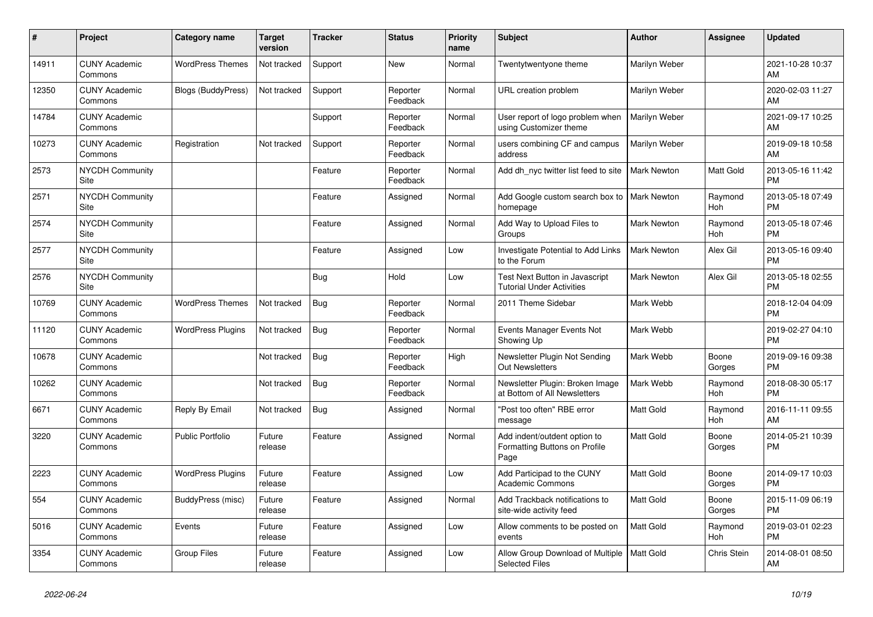| #     | Project                         | <b>Category name</b>      | Target<br>version | <b>Tracker</b> | <b>Status</b>        | <b>Priority</b><br>name | <b>Subject</b>                                                        | <b>Author</b>      | <b>Assignee</b>       | <b>Updated</b>                |
|-------|---------------------------------|---------------------------|-------------------|----------------|----------------------|-------------------------|-----------------------------------------------------------------------|--------------------|-----------------------|-------------------------------|
| 14911 | <b>CUNY Academic</b><br>Commons | <b>WordPress Themes</b>   | Not tracked       | Support        | <b>New</b>           | Normal                  | Twentytwentyone theme                                                 | Marilyn Weber      |                       | 2021-10-28 10:37<br>AM        |
| 12350 | <b>CUNY Academic</b><br>Commons | <b>Blogs (BuddyPress)</b> | Not tracked       | Support        | Reporter<br>Feedback | Normal                  | URL creation problem                                                  | Marilyn Weber      |                       | 2020-02-03 11:27<br>AM        |
| 14784 | <b>CUNY Academic</b><br>Commons |                           |                   | Support        | Reporter<br>Feedback | Normal                  | User report of logo problem when<br>using Customizer theme            | Marilyn Weber      |                       | 2021-09-17 10:25<br>AM        |
| 10273 | <b>CUNY Academic</b><br>Commons | Registration              | Not tracked       | Support        | Reporter<br>Feedback | Normal                  | users combining CF and campus<br>address                              | Marilyn Weber      |                       | 2019-09-18 10:58<br>AM        |
| 2573  | <b>NYCDH Community</b><br>Site  |                           |                   | Feature        | Reporter<br>Feedback | Normal                  | Add dh nyc twitter list feed to site                                  | <b>Mark Newton</b> | Matt Gold             | 2013-05-16 11:42<br><b>PM</b> |
| 2571  | <b>NYCDH Community</b><br>Site  |                           |                   | Feature        | Assigned             | Normal                  | Add Google custom search box to   Mark Newton<br>homepage             |                    | Raymond<br>Hoh        | 2013-05-18 07:49<br><b>PM</b> |
| 2574  | <b>NYCDH Community</b><br>Site  |                           |                   | Feature        | Assigned             | Normal                  | Add Way to Upload Files to<br>Groups                                  | <b>Mark Newton</b> | Raymond<br>Hoh        | 2013-05-18 07:46<br><b>PM</b> |
| 2577  | <b>NYCDH Community</b><br>Site  |                           |                   | Feature        | Assigned             | Low                     | Investigate Potential to Add Links<br>to the Forum                    | <b>Mark Newton</b> | Alex Gil              | 2013-05-16 09:40<br><b>PM</b> |
| 2576  | <b>NYCDH Community</b><br>Site  |                           |                   | Bug            | Hold                 | Low                     | Test Next Button in Javascript<br><b>Tutorial Under Activities</b>    | Mark Newton        | Alex Gil              | 2013-05-18 02:55<br><b>PM</b> |
| 10769 | <b>CUNY Academic</b><br>Commons | <b>WordPress Themes</b>   | Not tracked       | <b>Bug</b>     | Reporter<br>Feedback | Normal                  | 2011 Theme Sidebar                                                    | Mark Webb          |                       | 2018-12-04 04:09<br><b>PM</b> |
| 11120 | <b>CUNY Academic</b><br>Commons | <b>WordPress Plugins</b>  | Not tracked       | Bug            | Reporter<br>Feedback | Normal                  | Events Manager Events Not<br>Showing Up                               | Mark Webb          |                       | 2019-02-27 04:10<br><b>PM</b> |
| 10678 | <b>CUNY Academic</b><br>Commons |                           | Not tracked       | <b>Bug</b>     | Reporter<br>Feedback | High                    | Newsletter Plugin Not Sending<br><b>Out Newsletters</b>               | Mark Webb          | Boone<br>Gorges       | 2019-09-16 09:38<br><b>PM</b> |
| 10262 | <b>CUNY Academic</b><br>Commons |                           | Not tracked       | <b>Bug</b>     | Reporter<br>Feedback | Normal                  | Newsletter Plugin: Broken Image<br>at Bottom of All Newsletters       | Mark Webb          | Raymond<br><b>Hoh</b> | 2018-08-30 05:17<br><b>PM</b> |
| 6671  | <b>CUNY Academic</b><br>Commons | Reply By Email            | Not tracked       | Bug            | Assigned             | Normal                  | "Post too often" RBE error<br>message                                 | Matt Gold          | Raymond<br>Hoh        | 2016-11-11 09:55<br>AM        |
| 3220  | <b>CUNY Academic</b><br>Commons | <b>Public Portfolio</b>   | Future<br>release | Feature        | Assigned             | Normal                  | Add indent/outdent option to<br>Formatting Buttons on Profile<br>Page | Matt Gold          | Boone<br>Gorges       | 2014-05-21 10:39<br><b>PM</b> |
| 2223  | <b>CUNY Academic</b><br>Commons | <b>WordPress Plugins</b>  | Future<br>release | Feature        | Assigned             | Low                     | Add Participad to the CUNY<br><b>Academic Commons</b>                 | <b>Matt Gold</b>   | Boone<br>Gorges       | 2014-09-17 10:03<br><b>PM</b> |
| 554   | <b>CUNY Academic</b><br>Commons | BuddyPress (misc)         | Future<br>release | Feature        | Assigned             | Normal                  | Add Trackback notifications to<br>site-wide activity feed             | Matt Gold          | Boone<br>Gorges       | 2015-11-09 06:19<br><b>PM</b> |
| 5016  | <b>CUNY Academic</b><br>Commons | Events                    | Future<br>release | Feature        | Assigned             | Low                     | Allow comments to be posted on<br>events                              | Matt Gold          | Raymond<br>Hoh        | 2019-03-01 02:23<br><b>PM</b> |
| 3354  | <b>CUNY Academic</b><br>Commons | <b>Group Files</b>        | Future<br>release | Feature        | Assigned             | Low                     | Allow Group Download of Multiple<br><b>Selected Files</b>             | Matt Gold          | Chris Stein           | 2014-08-01 08:50<br>AM        |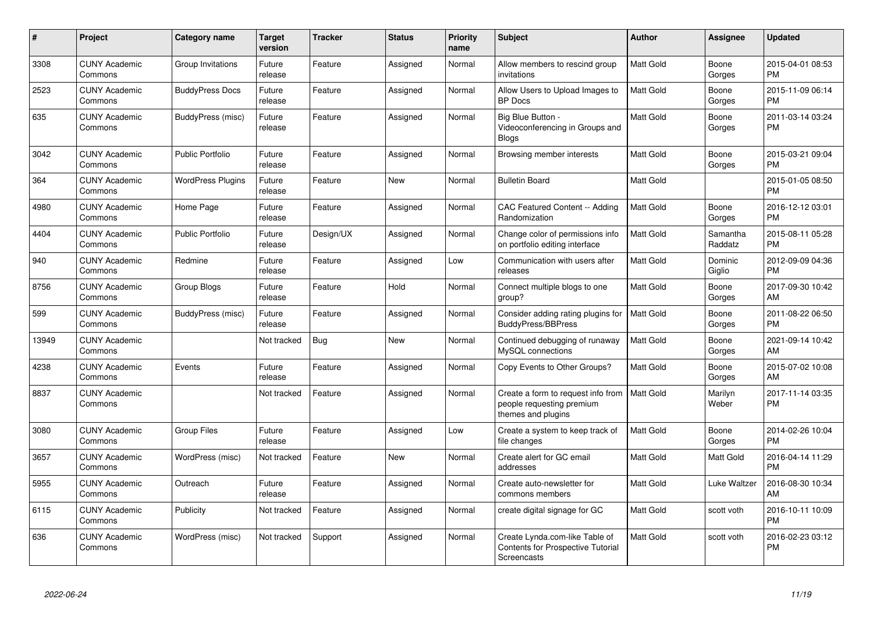| #     | Project                         | <b>Category name</b>     | Target<br>version | <b>Tracker</b> | <b>Status</b> | <b>Priority</b><br>name | <b>Subject</b>                                                                            | <b>Author</b>    | <b>Assignee</b>     | <b>Updated</b>                |
|-------|---------------------------------|--------------------------|-------------------|----------------|---------------|-------------------------|-------------------------------------------------------------------------------------------|------------------|---------------------|-------------------------------|
| 3308  | <b>CUNY Academic</b><br>Commons | Group Invitations        | Future<br>release | Feature        | Assigned      | Normal                  | Allow members to rescind group<br>invitations                                             | <b>Matt Gold</b> | Boone<br>Gorges     | 2015-04-01 08:53<br><b>PM</b> |
| 2523  | <b>CUNY Academic</b><br>Commons | <b>BuddyPress Docs</b>   | Future<br>release | Feature        | Assigned      | Normal                  | Allow Users to Upload Images to<br><b>BP</b> Docs                                         | <b>Matt Gold</b> | Boone<br>Gorges     | 2015-11-09 06:14<br><b>PM</b> |
| 635   | <b>CUNY Academic</b><br>Commons | BuddyPress (misc)        | Future<br>release | Feature        | Assigned      | Normal                  | Big Blue Button -<br>Videoconferencing in Groups and<br><b>Blogs</b>                      | Matt Gold        | Boone<br>Gorges     | 2011-03-14 03:24<br><b>PM</b> |
| 3042  | <b>CUNY Academic</b><br>Commons | <b>Public Portfolio</b>  | Future<br>release | Feature        | Assigned      | Normal                  | Browsing member interests                                                                 | <b>Matt Gold</b> | Boone<br>Gorges     | 2015-03-21 09:04<br><b>PM</b> |
| 364   | <b>CUNY Academic</b><br>Commons | <b>WordPress Plugins</b> | Future<br>release | Feature        | <b>New</b>    | Normal                  | <b>Bulletin Board</b>                                                                     | Matt Gold        |                     | 2015-01-05 08:50<br><b>PM</b> |
| 4980  | <b>CUNY Academic</b><br>Commons | Home Page                | Future<br>release | Feature        | Assigned      | Normal                  | CAC Featured Content -- Adding<br>Randomization                                           | <b>Matt Gold</b> | Boone<br>Gorges     | 2016-12-12 03:01<br><b>PM</b> |
| 4404  | <b>CUNY Academic</b><br>Commons | <b>Public Portfolio</b>  | Future<br>release | Design/UX      | Assigned      | Normal                  | Change color of permissions info<br>on portfolio editing interface                        | <b>Matt Gold</b> | Samantha<br>Raddatz | 2015-08-11 05:28<br><b>PM</b> |
| 940   | <b>CUNY Academic</b><br>Commons | Redmine                  | Future<br>release | Feature        | Assigned      | Low                     | Communication with users after<br>releases                                                | Matt Gold        | Dominic<br>Giglio   | 2012-09-09 04:36<br><b>PM</b> |
| 8756  | <b>CUNY Academic</b><br>Commons | Group Blogs              | Future<br>release | Feature        | Hold          | Normal                  | Connect multiple blogs to one<br>group?                                                   | <b>Matt Gold</b> | Boone<br>Gorges     | 2017-09-30 10:42<br>AM        |
| 599   | <b>CUNY Academic</b><br>Commons | BuddyPress (misc)        | Future<br>release | Feature        | Assigned      | Normal                  | Consider adding rating plugins for<br><b>BuddyPress/BBPress</b>                           | <b>Matt Gold</b> | Boone<br>Gorges     | 2011-08-22 06:50<br><b>PM</b> |
| 13949 | <b>CUNY Academic</b><br>Commons |                          | Not tracked       | Bug            | <b>New</b>    | Normal                  | Continued debugging of runaway<br>MySQL connections                                       | <b>Matt Gold</b> | Boone<br>Gorges     | 2021-09-14 10:42<br>AM        |
| 4238  | <b>CUNY Academic</b><br>Commons | Events                   | Future<br>release | Feature        | Assigned      | Normal                  | Copy Events to Other Groups?                                                              | <b>Matt Gold</b> | Boone<br>Gorges     | 2015-07-02 10:08<br>AM        |
| 8837  | <b>CUNY Academic</b><br>Commons |                          | Not tracked       | Feature        | Assigned      | Normal                  | Create a form to request info from<br>people requesting premium<br>themes and plugins     | Matt Gold        | Marilyn<br>Weber    | 2017-11-14 03:35<br><b>PM</b> |
| 3080  | <b>CUNY Academic</b><br>Commons | <b>Group Files</b>       | Future<br>release | Feature        | Assigned      | Low                     | Create a system to keep track of<br>file changes                                          | <b>Matt Gold</b> | Boone<br>Gorges     | 2014-02-26 10:04<br><b>PM</b> |
| 3657  | <b>CUNY Academic</b><br>Commons | WordPress (misc)         | Not tracked       | Feature        | New           | Normal                  | Create alert for GC email<br>addresses                                                    | Matt Gold        | Matt Gold           | 2016-04-14 11:29<br><b>PM</b> |
| 5955  | <b>CUNY Academic</b><br>Commons | Outreach                 | Future<br>release | Feature        | Assigned      | Normal                  | Create auto-newsletter for<br>commons members                                             | Matt Gold        | Luke Waltzer        | 2016-08-30 10:34<br>AM        |
| 6115  | <b>CUNY Academic</b><br>Commons | Publicity                | Not tracked       | Feature        | Assigned      | Normal                  | create digital signage for GC                                                             | Matt Gold        | scott voth          | 2016-10-11 10:09<br><b>PM</b> |
| 636   | <b>CUNY Academic</b><br>Commons | WordPress (misc)         | Not tracked       | Support        | Assigned      | Normal                  | Create Lynda.com-like Table of<br><b>Contents for Prospective Tutorial</b><br>Screencasts | <b>Matt Gold</b> | scott voth          | 2016-02-23 03:12<br><b>PM</b> |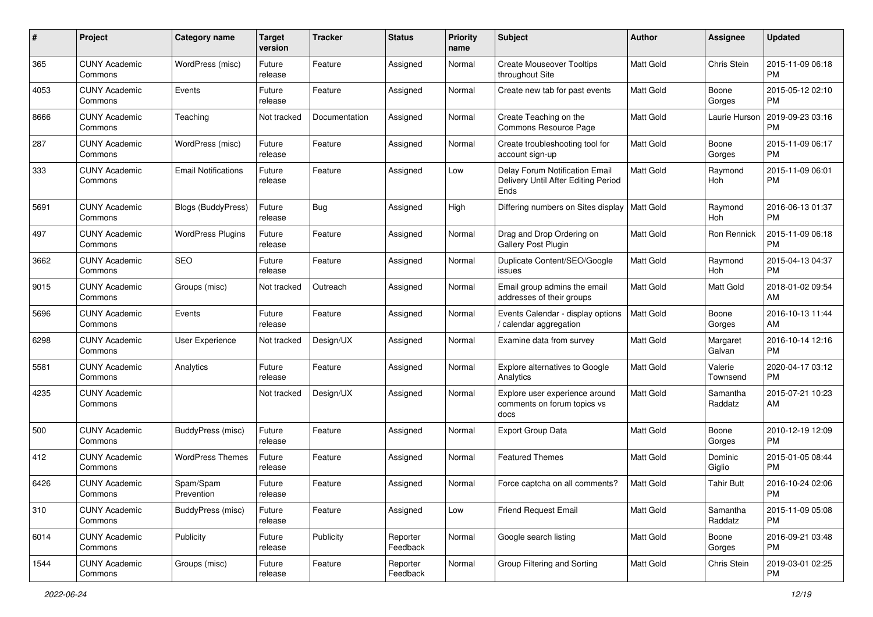| #    | Project                         | <b>Category name</b>       | <b>Target</b><br>version | <b>Tracker</b> | <b>Status</b>        | <b>Priority</b><br>name | Subject                                                                       | Author           | <b>Assignee</b>     | <b>Updated</b>                |
|------|---------------------------------|----------------------------|--------------------------|----------------|----------------------|-------------------------|-------------------------------------------------------------------------------|------------------|---------------------|-------------------------------|
| 365  | <b>CUNY Academic</b><br>Commons | WordPress (misc)           | Future<br>release        | Feature        | Assigned             | Normal                  | <b>Create Mouseover Tooltips</b><br>throughout Site                           | <b>Matt Gold</b> | Chris Stein         | 2015-11-09 06:18<br><b>PM</b> |
| 4053 | <b>CUNY Academic</b><br>Commons | Events                     | Future<br>release        | Feature        | Assigned             | Normal                  | Create new tab for past events                                                | Matt Gold        | Boone<br>Gorges     | 2015-05-12 02:10<br>PM        |
| 8666 | <b>CUNY Academic</b><br>Commons | Teaching                   | Not tracked              | Documentation  | Assigned             | Normal                  | Create Teaching on the<br>Commons Resource Page                               | Matt Gold        | Laurie Hurson       | 2019-09-23 03:16<br><b>PM</b> |
| 287  | <b>CUNY Academic</b><br>Commons | WordPress (misc)           | Future<br>release        | Feature        | Assigned             | Normal                  | Create troubleshooting tool for<br>account sign-up                            | <b>Matt Gold</b> | Boone<br>Gorges     | 2015-11-09 06:17<br><b>PM</b> |
| 333  | <b>CUNY Academic</b><br>Commons | <b>Email Notifications</b> | Future<br>release        | Feature        | Assigned             | Low                     | Delay Forum Notification Email<br>Delivery Until After Editing Period<br>Ends | <b>Matt Gold</b> | Raymond<br>Hoh      | 2015-11-09 06:01<br><b>PM</b> |
| 5691 | <b>CUNY Academic</b><br>Commons | <b>Blogs (BuddyPress)</b>  | Future<br>release        | Bug            | Assigned             | High                    | Differing numbers on Sites display                                            | Matt Gold        | Raymond<br>Hoh      | 2016-06-13 01:37<br><b>PM</b> |
| 497  | <b>CUNY Academic</b><br>Commons | <b>WordPress Plugins</b>   | Future<br>release        | Feature        | Assigned             | Normal                  | Drag and Drop Ordering on<br>Gallery Post Plugin                              | Matt Gold        | <b>Ron Rennick</b>  | 2015-11-09 06:18<br><b>PM</b> |
| 3662 | <b>CUNY Academic</b><br>Commons | <b>SEO</b>                 | Future<br>release        | Feature        | Assigned             | Normal                  | Duplicate Content/SEO/Google<br>issues                                        | Matt Gold        | Raymond<br>Hoh      | 2015-04-13 04:37<br><b>PM</b> |
| 9015 | <b>CUNY Academic</b><br>Commons | Groups (misc)              | Not tracked              | Outreach       | Assigned             | Normal                  | Email group admins the email<br>addresses of their groups                     | <b>Matt Gold</b> | Matt Gold           | 2018-01-02 09:54<br>AM        |
| 5696 | <b>CUNY Academic</b><br>Commons | Events                     | Future<br>release        | Feature        | Assigned             | Normal                  | Events Calendar - display options<br>/ calendar aggregation                   | <b>Matt Gold</b> | Boone<br>Gorges     | 2016-10-13 11:44<br>AM        |
| 6298 | <b>CUNY Academic</b><br>Commons | User Experience            | Not tracked              | Design/UX      | Assigned             | Normal                  | Examine data from survey                                                      | Matt Gold        | Margaret<br>Galvan  | 2016-10-14 12:16<br><b>PM</b> |
| 5581 | <b>CUNY Academic</b><br>Commons | Analytics                  | Future<br>release        | Feature        | Assigned             | Normal                  | Explore alternatives to Google<br>Analytics                                   | <b>Matt Gold</b> | Valerie<br>Townsend | 2020-04-17 03:12<br><b>PM</b> |
| 4235 | <b>CUNY Academic</b><br>Commons |                            | Not tracked              | Design/UX      | Assigned             | Normal                  | Explore user experience around<br>comments on forum topics vs<br>docs         | <b>Matt Gold</b> | Samantha<br>Raddatz | 2015-07-21 10:23<br>AM        |
| 500  | <b>CUNY Academic</b><br>Commons | BuddyPress (misc)          | Future<br>release        | Feature        | Assigned             | Normal                  | <b>Export Group Data</b>                                                      | <b>Matt Gold</b> | Boone<br>Gorges     | 2010-12-19 12:09<br><b>PM</b> |
| 412  | <b>CUNY Academic</b><br>Commons | <b>WordPress Themes</b>    | Future<br>release        | Feature        | Assigned             | Normal                  | <b>Featured Themes</b>                                                        | <b>Matt Gold</b> | Dominic<br>Giglio   | 2015-01-05 08:44<br><b>PM</b> |
| 6426 | <b>CUNY Academic</b><br>Commons | Spam/Spam<br>Prevention    | Future<br>release        | Feature        | Assigned             | Normal                  | Force captcha on all comments?                                                | Matt Gold        | <b>Tahir Butt</b>   | 2016-10-24 02:06<br>PM        |
| 310  | <b>CUNY Academic</b><br>Commons | BuddyPress (misc)          | Future<br>release        | Feature        | Assigned             | Low                     | <b>Friend Request Email</b>                                                   | Matt Gold        | Samantha<br>Raddatz | 2015-11-09 05:08<br>PM        |
| 6014 | <b>CUNY Academic</b><br>Commons | Publicity                  | Future<br>release        | Publicity      | Reporter<br>Feedback | Normal                  | Google search listing                                                         | Matt Gold        | Boone<br>Gorges     | 2016-09-21 03:48<br><b>PM</b> |
| 1544 | <b>CUNY Academic</b><br>Commons | Groups (misc)              | Future<br>release        | Feature        | Reporter<br>Feedback | Normal                  | Group Filtering and Sorting                                                   | Matt Gold        | Chris Stein         | 2019-03-01 02:25<br><b>PM</b> |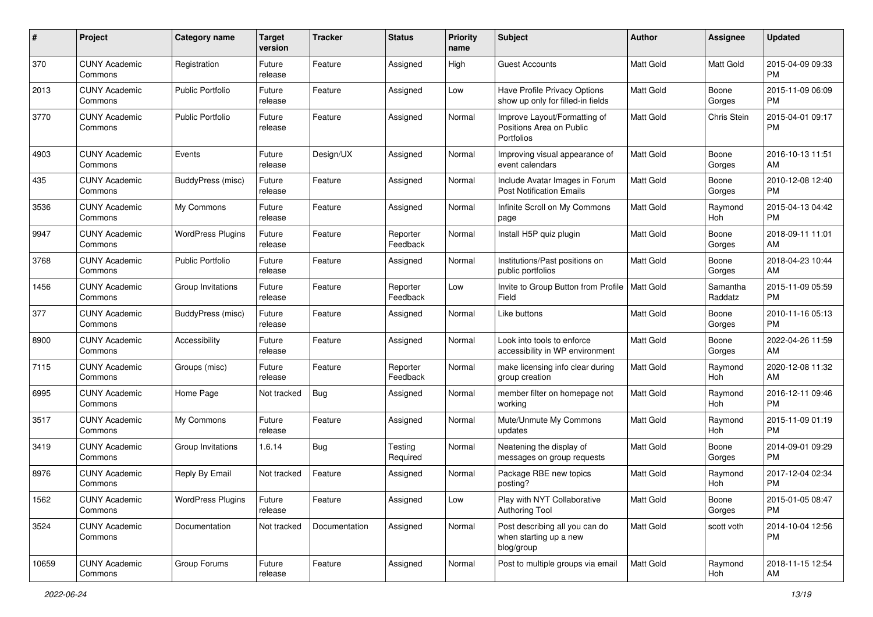| #     | Project                         | <b>Category name</b>     | <b>Target</b><br>version | <b>Tracker</b> | <b>Status</b>        | <b>Priority</b><br>name | Subject                                                                | Author           | Assignee            | <b>Updated</b>                |
|-------|---------------------------------|--------------------------|--------------------------|----------------|----------------------|-------------------------|------------------------------------------------------------------------|------------------|---------------------|-------------------------------|
| 370   | <b>CUNY Academic</b><br>Commons | Registration             | Future<br>release        | Feature        | Assigned             | High                    | <b>Guest Accounts</b>                                                  | <b>Matt Gold</b> | Matt Gold           | 2015-04-09 09:33<br><b>PM</b> |
| 2013  | <b>CUNY Academic</b><br>Commons | <b>Public Portfolio</b>  | Future<br>release        | Feature        | Assigned             | Low                     | Have Profile Privacy Options<br>show up only for filled-in fields      | Matt Gold        | Boone<br>Gorges     | 2015-11-09 06:09<br><b>PM</b> |
| 3770  | <b>CUNY Academic</b><br>Commons | <b>Public Portfolio</b>  | Future<br>release        | Feature        | Assigned             | Normal                  | Improve Layout/Formatting of<br>Positions Area on Public<br>Portfolios | <b>Matt Gold</b> | Chris Stein         | 2015-04-01 09:17<br><b>PM</b> |
| 4903  | <b>CUNY Academic</b><br>Commons | Events                   | Future<br>release        | Design/UX      | Assigned             | Normal                  | Improving visual appearance of<br>event calendars                      | <b>Matt Gold</b> | Boone<br>Gorges     | 2016-10-13 11:51<br>AM        |
| 435   | <b>CUNY Academic</b><br>Commons | BuddyPress (misc)        | Future<br>release        | Feature        | Assigned             | Normal                  | Include Avatar Images in Forum<br><b>Post Notification Emails</b>      | <b>Matt Gold</b> | Boone<br>Gorges     | 2010-12-08 12:40<br><b>PM</b> |
| 3536  | <b>CUNY Academic</b><br>Commons | My Commons               | Future<br>release        | Feature        | Assigned             | Normal                  | Infinite Scroll on My Commons<br>page                                  | <b>Matt Gold</b> | Raymond<br>Hoh      | 2015-04-13 04:42<br><b>PM</b> |
| 9947  | <b>CUNY Academic</b><br>Commons | <b>WordPress Plugins</b> | Future<br>release        | Feature        | Reporter<br>Feedback | Normal                  | Install H5P quiz plugin                                                | <b>Matt Gold</b> | Boone<br>Gorges     | 2018-09-11 11:01<br>AM        |
| 3768  | <b>CUNY Academic</b><br>Commons | <b>Public Portfolio</b>  | Future<br>release        | Feature        | Assigned             | Normal                  | Institutions/Past positions on<br>public portfolios                    | Matt Gold        | Boone<br>Gorges     | 2018-04-23 10:44<br>AM        |
| 1456  | <b>CUNY Academic</b><br>Commons | Group Invitations        | Future<br>release        | Feature        | Reporter<br>Feedback | Low                     | Invite to Group Button from Profile   Matt Gold<br>Field               |                  | Samantha<br>Raddatz | 2015-11-09 05:59<br><b>PM</b> |
| 377   | <b>CUNY Academic</b><br>Commons | BuddyPress (misc)        | Future<br>release        | Feature        | Assigned             | Normal                  | Like buttons                                                           | <b>Matt Gold</b> | Boone<br>Gorges     | 2010-11-16 05:13<br><b>PM</b> |
| 8900  | <b>CUNY Academic</b><br>Commons | Accessibility            | Future<br>release        | Feature        | Assigned             | Normal                  | Look into tools to enforce<br>accessibility in WP environment          | Matt Gold        | Boone<br>Gorges     | 2022-04-26 11:59<br>AM        |
| 7115  | <b>CUNY Academic</b><br>Commons | Groups (misc)            | Future<br>release        | Feature        | Reporter<br>Feedback | Normal                  | make licensing info clear during<br>group creation                     | <b>Matt Gold</b> | Raymond<br>Hoh      | 2020-12-08 11:32<br>AM        |
| 6995  | <b>CUNY Academic</b><br>Commons | Home Page                | Not tracked              | <b>Bug</b>     | Assigned             | Normal                  | member filter on homepage not<br>working                               | <b>Matt Gold</b> | Raymond<br>Hoh      | 2016-12-11 09:46<br><b>PM</b> |
| 3517  | <b>CUNY Academic</b><br>Commons | My Commons               | Future<br>release        | Feature        | Assigned             | Normal                  | Mute/Unmute My Commons<br>updates                                      | <b>Matt Gold</b> | Raymond<br>Hoh      | 2015-11-09 01:19<br><b>PM</b> |
| 3419  | <b>CUNY Academic</b><br>Commons | Group Invitations        | 1.6.14                   | <b>Bug</b>     | Testing<br>Required  | Normal                  | Neatening the display of<br>messages on group requests                 | <b>Matt Gold</b> | Boone<br>Gorges     | 2014-09-01 09:29<br><b>PM</b> |
| 8976  | <b>CUNY Academic</b><br>Commons | Reply By Email           | Not tracked              | Feature        | Assigned             | Normal                  | Package RBE new topics<br>posting?                                     | <b>Matt Gold</b> | Raymond<br>Hoh      | 2017-12-04 02:34<br><b>PM</b> |
| 1562  | <b>CUNY Academic</b><br>Commons | <b>WordPress Plugins</b> | Future<br>release        | Feature        | Assigned             | Low                     | Play with NYT Collaborative<br>Authoring Tool                          | Matt Gold        | Boone<br>Gorges     | 2015-01-05 08:47<br>PM        |
| 3524  | <b>CUNY Academic</b><br>Commons | Documentation            | Not tracked              | Documentation  | Assigned             | Normal                  | Post describing all you can do<br>when starting up a new<br>blog/group | Matt Gold        | scott voth          | 2014-10-04 12:56<br>PM        |
| 10659 | <b>CUNY Academic</b><br>Commons | Group Forums             | Future<br>release        | Feature        | Assigned             | Normal                  | Post to multiple groups via email                                      | Matt Gold        | Raymond<br>Hoh      | 2018-11-15 12:54<br>AM        |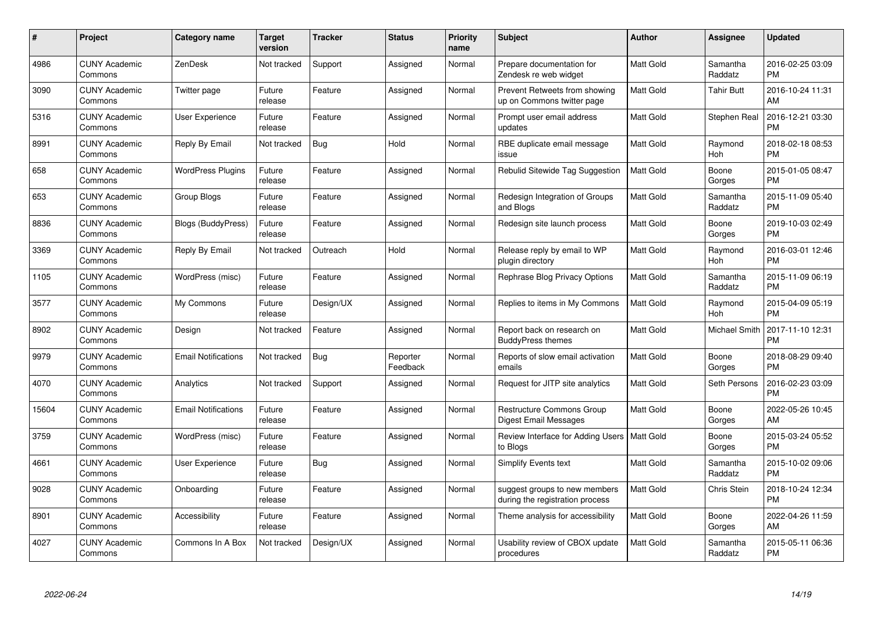| #     | <b>Project</b>                  | Category name              | <b>Target</b><br>version | <b>Tracker</b> | <b>Status</b>        | <b>Priority</b><br>name | <b>Subject</b>                                                   | <b>Author</b>    | <b>Assignee</b>     | <b>Updated</b>                |
|-------|---------------------------------|----------------------------|--------------------------|----------------|----------------------|-------------------------|------------------------------------------------------------------|------------------|---------------------|-------------------------------|
| 4986  | <b>CUNY Academic</b><br>Commons | ZenDesk                    | Not tracked              | Support        | Assigned             | Normal                  | Prepare documentation for<br>Zendesk re web widget               | <b>Matt Gold</b> | Samantha<br>Raddatz | 2016-02-25 03:09<br><b>PM</b> |
| 3090  | <b>CUNY Academic</b><br>Commons | Twitter page               | Future<br>release        | Feature        | Assigned             | Normal                  | Prevent Retweets from showing<br>up on Commons twitter page      | Matt Gold        | <b>Tahir Butt</b>   | 2016-10-24 11:31<br>AM        |
| 5316  | <b>CUNY Academic</b><br>Commons | <b>User Experience</b>     | Future<br>release        | Feature        | Assigned             | Normal                  | Prompt user email address<br>updates                             | Matt Gold        | Stephen Real        | 2016-12-21 03:30<br><b>PM</b> |
| 8991  | <b>CUNY Academic</b><br>Commons | Reply By Email             | Not tracked              | <b>Bug</b>     | Hold                 | Normal                  | RBE duplicate email message<br>issue                             | <b>Matt Gold</b> | Raymond<br>Hoh      | 2018-02-18 08:53<br><b>PM</b> |
| 658   | <b>CUNY Academic</b><br>Commons | <b>WordPress Plugins</b>   | Future<br>release        | Feature        | Assigned             | Normal                  | Rebulid Sitewide Tag Suggestion                                  | <b>Matt Gold</b> | Boone<br>Gorges     | 2015-01-05 08:47<br><b>PM</b> |
| 653   | <b>CUNY Academic</b><br>Commons | <b>Group Blogs</b>         | Future<br>release        | Feature        | Assigned             | Normal                  | Redesign Integration of Groups<br>and Blogs                      | <b>Matt Gold</b> | Samantha<br>Raddatz | 2015-11-09 05:40<br><b>PM</b> |
| 8836  | <b>CUNY Academic</b><br>Commons | Blogs (BuddyPress)         | Future<br>release        | Feature        | Assigned             | Normal                  | Redesign site launch process                                     | <b>Matt Gold</b> | Boone<br>Gorges     | 2019-10-03 02:49<br><b>PM</b> |
| 3369  | <b>CUNY Academic</b><br>Commons | Reply By Email             | Not tracked              | Outreach       | Hold                 | Normal                  | Release reply by email to WP<br>plugin directory                 | <b>Matt Gold</b> | Raymond<br>Hoh      | 2016-03-01 12:46<br><b>PM</b> |
| 1105  | <b>CUNY Academic</b><br>Commons | WordPress (misc)           | Future<br>release        | Feature        | Assigned             | Normal                  | Rephrase Blog Privacy Options                                    | <b>Matt Gold</b> | Samantha<br>Raddatz | 2015-11-09 06:19<br><b>PM</b> |
| 3577  | <b>CUNY Academic</b><br>Commons | My Commons                 | Future<br>release        | Design/UX      | Assigned             | Normal                  | Replies to items in My Commons                                   | Matt Gold        | Raymond<br>Hoh      | 2015-04-09 05:19<br><b>PM</b> |
| 8902  | <b>CUNY Academic</b><br>Commons | Design                     | Not tracked              | Feature        | Assigned             | Normal                  | Report back on research on<br><b>BuddyPress themes</b>           | Matt Gold        | Michael Smith       | 2017-11-10 12:31<br><b>PM</b> |
| 9979  | <b>CUNY Academic</b><br>Commons | <b>Email Notifications</b> | Not tracked              | <b>Bug</b>     | Reporter<br>Feedback | Normal                  | Reports of slow email activation<br>emails                       | <b>Matt Gold</b> | Boone<br>Gorges     | 2018-08-29 09:40<br><b>PM</b> |
| 4070  | <b>CUNY Academic</b><br>Commons | Analytics                  | Not tracked              | Support        | Assigned             | Normal                  | Request for JITP site analytics                                  | <b>Matt Gold</b> | Seth Persons        | 2016-02-23 03:09<br><b>PM</b> |
| 15604 | <b>CUNY Academic</b><br>Commons | <b>Email Notifications</b> | Future<br>release        | Feature        | Assigned             | Normal                  | Restructure Commons Group<br>Digest Email Messages               | <b>Matt Gold</b> | Boone<br>Gorges     | 2022-05-26 10:45<br>AM        |
| 3759  | <b>CUNY Academic</b><br>Commons | WordPress (misc)           | Future<br>release        | Feature        | Assigned             | Normal                  | Review Interface for Adding Users   Matt Gold<br>to Blogs        |                  | Boone<br>Gorges     | 2015-03-24 05:52<br><b>PM</b> |
| 4661  | <b>CUNY Academic</b><br>Commons | <b>User Experience</b>     | Future<br>release        | <b>Bug</b>     | Assigned             | Normal                  | <b>Simplify Events text</b>                                      | <b>Matt Gold</b> | Samantha<br>Raddatz | 2015-10-02 09:06<br><b>PM</b> |
| 9028  | <b>CUNY Academic</b><br>Commons | Onboarding                 | Future<br>release        | Feature        | Assigned             | Normal                  | suggest groups to new members<br>during the registration process | <b>Matt Gold</b> | Chris Stein         | 2018-10-24 12:34<br><b>PM</b> |
| 8901  | <b>CUNY Academic</b><br>Commons | Accessibility              | Future<br>release        | Feature        | Assigned             | Normal                  | Theme analysis for accessibility                                 | <b>Matt Gold</b> | Boone<br>Gorges     | 2022-04-26 11:59<br>AM        |
| 4027  | <b>CUNY Academic</b><br>Commons | Commons In A Box           | Not tracked              | Design/UX      | Assigned             | Normal                  | Usability review of CBOX update<br>procedures                    | <b>Matt Gold</b> | Samantha<br>Raddatz | 2015-05-11 06:36<br>PM        |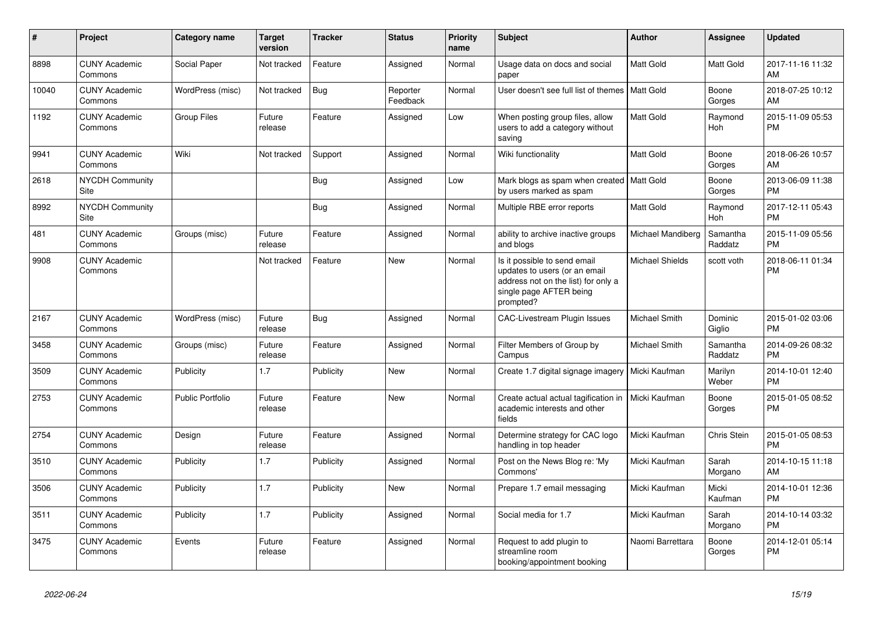| #     | <b>Project</b>                        | <b>Category name</b>    | Target<br>version | Tracker    | <b>Status</b>        | <b>Priority</b><br>name | <b>Subject</b>                                                                                                                               | <b>Author</b>          | <b>Assignee</b>     | <b>Updated</b>                |
|-------|---------------------------------------|-------------------------|-------------------|------------|----------------------|-------------------------|----------------------------------------------------------------------------------------------------------------------------------------------|------------------------|---------------------|-------------------------------|
| 8898  | <b>CUNY Academic</b><br>Commons       | Social Paper            | Not tracked       | Feature    | Assigned             | Normal                  | Usage data on docs and social<br>paper                                                                                                       | <b>Matt Gold</b>       | <b>Matt Gold</b>    | 2017-11-16 11:32<br>AM        |
| 10040 | <b>CUNY Academic</b><br>Commons       | WordPress (misc)        | Not tracked       | <b>Bug</b> | Reporter<br>Feedback | Normal                  | User doesn't see full list of themes   Matt Gold                                                                                             |                        | Boone<br>Gorges     | 2018-07-25 10:12<br>AM        |
| 1192  | <b>CUNY Academic</b><br>Commons       | <b>Group Files</b>      | Future<br>release | Feature    | Assigned             | Low                     | When posting group files, allow<br>users to add a category without<br>saving                                                                 | Matt Gold              | Raymond<br>Hoh      | 2015-11-09 05:53<br><b>PM</b> |
| 9941  | <b>CUNY Academic</b><br>Commons       | Wiki                    | Not tracked       | Support    | Assigned             | Normal                  | Wiki functionality                                                                                                                           | Matt Gold              | Boone<br>Gorges     | 2018-06-26 10:57<br>AM        |
| 2618  | <b>NYCDH Community</b><br>Site        |                         |                   | <b>Bug</b> | Assigned             | Low                     | Mark blogs as spam when created   Matt Gold<br>by users marked as spam                                                                       |                        | Boone<br>Gorges     | 2013-06-09 11:38<br><b>PM</b> |
| 8992  | <b>NYCDH Community</b><br><b>Site</b> |                         |                   | Bug        | Assigned             | Normal                  | Multiple RBE error reports                                                                                                                   | Matt Gold              | Raymond<br>Hoh      | 2017-12-11 05:43<br><b>PM</b> |
| 481   | <b>CUNY Academic</b><br>Commons       | Groups (misc)           | Future<br>release | Feature    | Assigned             | Normal                  | ability to archive inactive groups<br>and blogs                                                                                              | Michael Mandiberg      | Samantha<br>Raddatz | 2015-11-09 05:56<br><b>PM</b> |
| 9908  | <b>CUNY Academic</b><br>Commons       |                         | Not tracked       | Feature    | New                  | Normal                  | Is it possible to send email<br>updates to users (or an email<br>address not on the list) for only a<br>single page AFTER being<br>prompted? | <b>Michael Shields</b> | scott voth          | 2018-06-11 01:34<br><b>PM</b> |
| 2167  | <b>CUNY Academic</b><br>Commons       | WordPress (misc)        | Future<br>release | <b>Bug</b> | Assigned             | Normal                  | <b>CAC-Livestream Plugin Issues</b>                                                                                                          | Michael Smith          | Dominic<br>Giglio   | 2015-01-02 03:06<br><b>PM</b> |
| 3458  | <b>CUNY Academic</b><br>Commons       | Groups (misc)           | Future<br>release | Feature    | Assigned             | Normal                  | Filter Members of Group by<br>Campus                                                                                                         | Michael Smith          | Samantha<br>Raddatz | 2014-09-26 08:32<br><b>PM</b> |
| 3509  | <b>CUNY Academic</b><br>Commons       | Publicity               | 1.7               | Publicity  | New                  | Normal                  | Create 1.7 digital signage imagery                                                                                                           | Micki Kaufman          | Marilyn<br>Weber    | 2014-10-01 12:40<br><b>PM</b> |
| 2753  | <b>CUNY Academic</b><br>Commons       | <b>Public Portfolio</b> | Future<br>release | Feature    | <b>New</b>           | Normal                  | Create actual actual tagification in<br>academic interests and other<br>fields                                                               | Micki Kaufman          | Boone<br>Gorges     | 2015-01-05 08:52<br><b>PM</b> |
| 2754  | <b>CUNY Academic</b><br>Commons       | Design                  | Future<br>release | Feature    | Assigned             | Normal                  | Determine strategy for CAC logo<br>handling in top header                                                                                    | Micki Kaufman          | Chris Stein         | 2015-01-05 08:53<br><b>PM</b> |
| 3510  | <b>CUNY Academic</b><br>Commons       | Publicity               | 1.7               | Publicity  | Assigned             | Normal                  | Post on the News Blog re: 'My<br>Commons'                                                                                                    | Micki Kaufman          | Sarah<br>Morgano    | 2014-10-15 11:18<br>AM        |
| 3506  | <b>CUNY Academic</b><br>Commons       | Publicity               | 1.7               | Publicity  | <b>New</b>           | Normal                  | Prepare 1.7 email messaging                                                                                                                  | Micki Kaufman          | Micki<br>Kaufman    | 2014-10-01 12:36<br><b>PM</b> |
| 3511  | <b>CUNY Academic</b><br>Commons       | Publicity               | 1.7               | Publicity  | Assigned             | Normal                  | Social media for 1.7                                                                                                                         | Micki Kaufman          | Sarah<br>Morgano    | 2014-10-14 03:32<br><b>PM</b> |
| 3475  | <b>CUNY Academic</b><br>Commons       | Events                  | Future<br>release | Feature    | Assigned             | Normal                  | Request to add plugin to<br>streamline room<br>booking/appointment booking                                                                   | Naomi Barrettara       | Boone<br>Gorges     | 2014-12-01 05:14<br><b>PM</b> |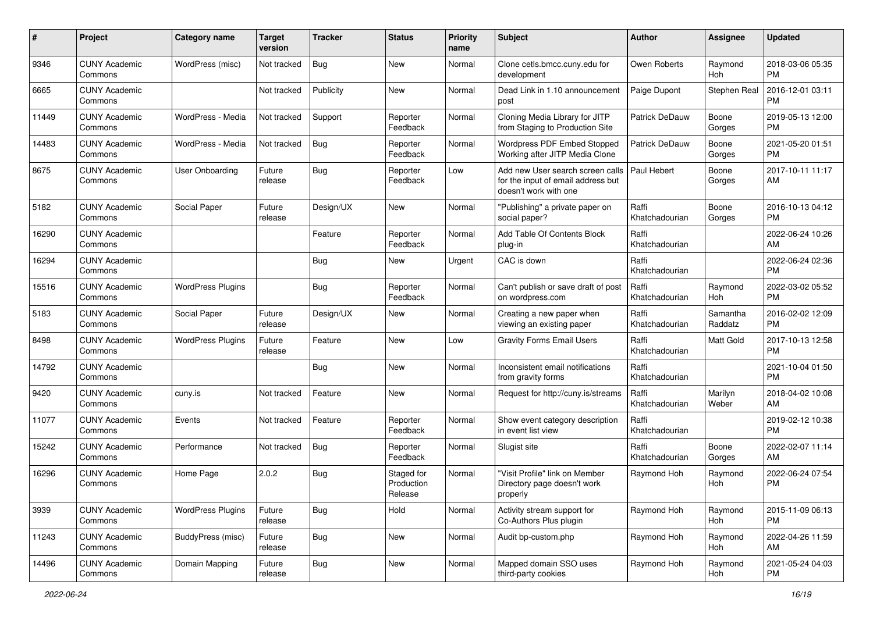| #     | Project                         | <b>Category name</b>     | <b>Target</b><br>version | <b>Tracker</b> | <b>Status</b>                       | <b>Priority</b><br>name | Subject                                                                                         | Author                  | <b>Assignee</b>     | <b>Updated</b>                |
|-------|---------------------------------|--------------------------|--------------------------|----------------|-------------------------------------|-------------------------|-------------------------------------------------------------------------------------------------|-------------------------|---------------------|-------------------------------|
| 9346  | <b>CUNY Academic</b><br>Commons | WordPress (misc)         | Not tracked              | Bug            | New                                 | Normal                  | Clone cetls.bmcc.cuny.edu for<br>development                                                    | Owen Roberts            | Raymond<br>Hoh      | 2018-03-06 05:35<br><b>PM</b> |
| 6665  | <b>CUNY Academic</b><br>Commons |                          | Not tracked              | Publicity      | New                                 | Normal                  | Dead Link in 1.10 announcement<br>post                                                          | Paige Dupont            | Stephen Real        | 2016-12-01 03:11<br><b>PM</b> |
| 11449 | <b>CUNY Academic</b><br>Commons | WordPress - Media        | Not tracked              | Support        | Reporter<br>Feedback                | Normal                  | Cloning Media Library for JITP<br>from Staging to Production Site                               | Patrick DeDauw          | Boone<br>Gorges     | 2019-05-13 12:00<br><b>PM</b> |
| 14483 | <b>CUNY Academic</b><br>Commons | WordPress - Media        | Not tracked              | <b>Bug</b>     | Reporter<br>Feedback                | Normal                  | Wordpress PDF Embed Stopped<br>Working after JITP Media Clone                                   | <b>Patrick DeDauw</b>   | Boone<br>Gorges     | 2021-05-20 01:51<br><b>PM</b> |
| 8675  | <b>CUNY Academic</b><br>Commons | <b>User Onboarding</b>   | Future<br>release        | Bug            | Reporter<br>Feedback                | Low                     | Add new User search screen calls<br>for the input of email address but<br>doesn't work with one | Paul Hebert             | Boone<br>Gorges     | 2017-10-11 11:17<br>AM        |
| 5182  | <b>CUNY Academic</b><br>Commons | Social Paper             | Future<br>release        | Design/UX      | New                                 | Normal                  | "Publishing" a private paper on<br>social paper?                                                | Raffi<br>Khatchadourian | Boone<br>Gorges     | 2016-10-13 04:12<br>PM        |
| 16290 | <b>CUNY Academic</b><br>Commons |                          |                          | Feature        | Reporter<br>Feedback                | Normal                  | Add Table Of Contents Block<br>plug-in                                                          | Raffi<br>Khatchadourian |                     | 2022-06-24 10:26<br>AM        |
| 16294 | <b>CUNY Academic</b><br>Commons |                          |                          | <b>Bug</b>     | New                                 | Urgent                  | CAC is down                                                                                     | Raffi<br>Khatchadourian |                     | 2022-06-24 02:36<br><b>PM</b> |
| 15516 | <b>CUNY Academic</b><br>Commons | <b>WordPress Plugins</b> |                          | <b>Bug</b>     | Reporter<br>Feedback                | Normal                  | Can't publish or save draft of post<br>on wordpress.com                                         | Raffi<br>Khatchadourian | Raymond<br>Hoh      | 2022-03-02 05:52<br><b>PM</b> |
| 5183  | <b>CUNY Academic</b><br>Commons | Social Paper             | Future<br>release        | Design/UX      | <b>New</b>                          | Normal                  | Creating a new paper when<br>viewing an existing paper                                          | Raffi<br>Khatchadourian | Samantha<br>Raddatz | 2016-02-02 12:09<br><b>PM</b> |
| 8498  | <b>CUNY Academic</b><br>Commons | <b>WordPress Plugins</b> | Future<br>release        | Feature        | New                                 | Low                     | <b>Gravity Forms Email Users</b>                                                                | Raffi<br>Khatchadourian | Matt Gold           | 2017-10-13 12:58<br><b>PM</b> |
| 14792 | <b>CUNY Academic</b><br>Commons |                          |                          | Bug            | New                                 | Normal                  | Inconsistent email notifications<br>from gravity forms                                          | Raffi<br>Khatchadourian |                     | 2021-10-04 01:50<br><b>PM</b> |
| 9420  | <b>CUNY Academic</b><br>Commons | cuny.is                  | Not tracked              | Feature        | New                                 | Normal                  | Request for http://cuny.is/streams                                                              | Raffi<br>Khatchadourian | Marilyn<br>Weber    | 2018-04-02 10:08<br>AM        |
| 11077 | <b>CUNY Academic</b><br>Commons | Events                   | Not tracked              | Feature        | Reporter<br>Feedback                | Normal                  | Show event category description<br>in event list view                                           | Raffi<br>Khatchadourian |                     | 2019-02-12 10:38<br><b>PM</b> |
| 15242 | <b>CUNY Academic</b><br>Commons | Performance              | Not tracked              | Bug            | Reporter<br>Feedback                | Normal                  | Slugist site                                                                                    | Raffi<br>Khatchadourian | Boone<br>Gorges     | 2022-02-07 11:14<br>AM        |
| 16296 | <b>CUNY Academic</b><br>Commons | Home Page                | 2.0.2                    | Bug            | Staged for<br>Production<br>Release | Normal                  | "Visit Profile" link on Member<br>Directory page doesn't work<br>properly                       | Raymond Hoh             | Raymond<br>Hoh      | 2022-06-24 07:54<br><b>PM</b> |
| 3939  | <b>CUNY Academic</b><br>Commons | <b>WordPress Plugins</b> | Future<br>release        | Bug            | Hold                                | Normal                  | Activity stream support for<br>Co-Authors Plus plugin                                           | Raymond Hoh             | Raymond<br>Hoh      | 2015-11-09 06:13<br>PM        |
| 11243 | <b>CUNY Academic</b><br>Commons | BuddyPress (misc)        | Future<br>release        | Bug            | New                                 | Normal                  | Audit bp-custom.php                                                                             | Raymond Hoh             | Raymond<br>Hoh      | 2022-04-26 11:59<br>AM        |
| 14496 | <b>CUNY Academic</b><br>Commons | Domain Mapping           | Future<br>release        | <b>Bug</b>     | New                                 | Normal                  | Mapped domain SSO uses<br>third-party cookies                                                   | Raymond Hoh             | Raymond<br>Hoh      | 2021-05-24 04:03<br><b>PM</b> |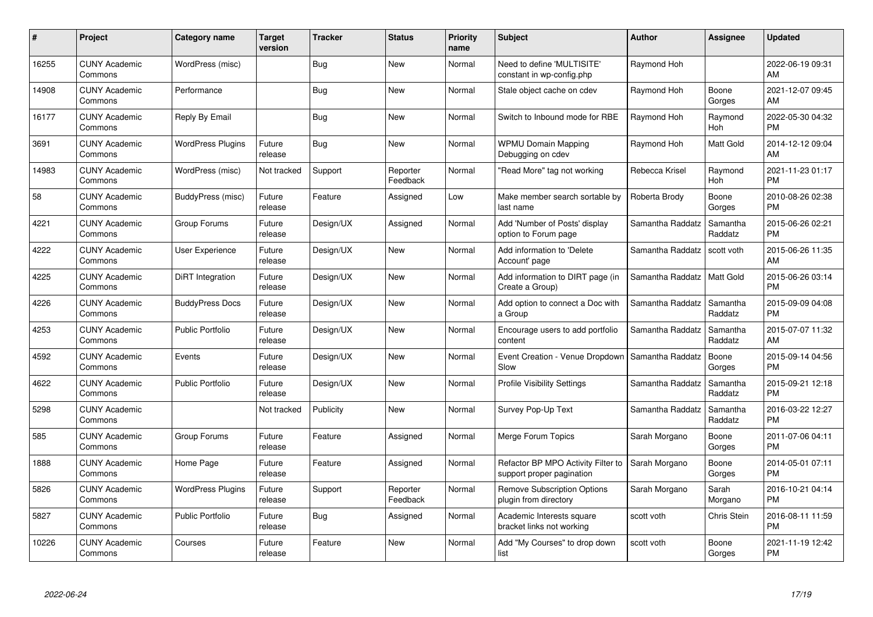| #     | Project                         | <b>Category name</b>     | <b>Target</b><br>version | <b>Tracker</b> | <b>Status</b>        | <b>Priority</b><br>name | <b>Subject</b>                                                  | <b>Author</b>    | <b>Assignee</b>     | <b>Updated</b>                |
|-------|---------------------------------|--------------------------|--------------------------|----------------|----------------------|-------------------------|-----------------------------------------------------------------|------------------|---------------------|-------------------------------|
| 16255 | <b>CUNY Academic</b><br>Commons | WordPress (misc)         |                          | Bug            | <b>New</b>           | Normal                  | Need to define 'MULTISITE'<br>constant in wp-config.php         | Raymond Hoh      |                     | 2022-06-19 09:31<br>AM        |
| 14908 | <b>CUNY Academic</b><br>Commons | Performance              |                          | Bug            | <b>New</b>           | Normal                  | Stale object cache on cdev                                      | Raymond Hoh      | Boone<br>Gorges     | 2021-12-07 09:45<br>AM        |
| 16177 | <b>CUNY Academic</b><br>Commons | Reply By Email           |                          | Bug            | <b>New</b>           | Normal                  | Switch to Inbound mode for RBE                                  | Raymond Hoh      | Raymond<br>Hoh      | 2022-05-30 04:32<br><b>PM</b> |
| 3691  | <b>CUNY Academic</b><br>Commons | <b>WordPress Plugins</b> | Future<br>release        | Bug            | <b>New</b>           | Normal                  | <b>WPMU Domain Mapping</b><br>Debugging on cdev                 | Raymond Hoh      | Matt Gold           | 2014-12-12 09:04<br>AM        |
| 14983 | <b>CUNY Academic</b><br>Commons | WordPress (misc)         | Not tracked              | Support        | Reporter<br>Feedback | Normal                  | 'Read More" tag not working                                     | Rebecca Krisel   | Raymond<br>Hoh      | 2021-11-23 01:17<br><b>PM</b> |
| 58    | <b>CUNY Academic</b><br>Commons | BuddyPress (misc)        | Future<br>release        | Feature        | Assigned             | Low                     | Make member search sortable by<br>last name                     | Roberta Brody    | Boone<br>Gorges     | 2010-08-26 02:38<br><b>PM</b> |
| 4221  | <b>CUNY Academic</b><br>Commons | Group Forums             | Future<br>release        | Design/UX      | Assigned             | Normal                  | Add 'Number of Posts' display<br>option to Forum page           | Samantha Raddatz | Samantha<br>Raddatz | 2015-06-26 02:21<br><b>PM</b> |
| 4222  | <b>CUNY Academic</b><br>Commons | <b>User Experience</b>   | Future<br>release        | Design/UX      | <b>New</b>           | Normal                  | Add information to 'Delete<br>Account' page                     | Samantha Raddatz | scott voth          | 2015-06-26 11:35<br>AM        |
| 4225  | <b>CUNY Academic</b><br>Commons | DiRT Integration         | Future<br>release        | Design/UX      | New                  | Normal                  | Add information to DIRT page (in<br>Create a Group)             | Samantha Raddatz | Matt Gold           | 2015-06-26 03:14<br><b>PM</b> |
| 4226  | <b>CUNY Academic</b><br>Commons | <b>BuddyPress Docs</b>   | Future<br>release        | Design/UX      | <b>New</b>           | Normal                  | Add option to connect a Doc with<br>a Group                     | Samantha Raddatz | Samantha<br>Raddatz | 2015-09-09 04:08<br><b>PM</b> |
| 4253  | <b>CUNY Academic</b><br>Commons | <b>Public Portfolio</b>  | Future<br>release        | Design/UX      | <b>New</b>           | Normal                  | Encourage users to add portfolio<br>content                     | Samantha Raddatz | Samantha<br>Raddatz | 2015-07-07 11:32<br>AM        |
| 4592  | <b>CUNY Academic</b><br>Commons | Events                   | Future<br>release        | Design/UX      | <b>New</b>           | Normal                  | Event Creation - Venue Dropdown<br>Slow                         | Samantha Raddatz | Boone<br>Gorges     | 2015-09-14 04:56<br><b>PM</b> |
| 4622  | <b>CUNY Academic</b><br>Commons | <b>Public Portfolio</b>  | Future<br>release        | Design/UX      | <b>New</b>           | Normal                  | <b>Profile Visibility Settings</b>                              | Samantha Raddatz | Samantha<br>Raddatz | 2015-09-21 12:18<br><b>PM</b> |
| 5298  | <b>CUNY Academic</b><br>Commons |                          | Not tracked              | Publicity      | <b>New</b>           | Normal                  | Survey Pop-Up Text                                              | Samantha Raddatz | Samantha<br>Raddatz | 2016-03-22 12:27<br><b>PM</b> |
| 585   | <b>CUNY Academic</b><br>Commons | Group Forums             | Future<br>release        | Feature        | Assigned             | Normal                  | Merge Forum Topics                                              | Sarah Morgano    | Boone<br>Gorges     | 2011-07-06 04:11<br><b>PM</b> |
| 1888  | <b>CUNY Academic</b><br>Commons | Home Page                | Future<br>release        | Feature        | Assigned             | Normal                  | Refactor BP MPO Activity Filter to<br>support proper pagination | Sarah Morgano    | Boone<br>Gorges     | 2014-05-01 07:11<br><b>PM</b> |
| 5826  | <b>CUNY Academic</b><br>Commons | WordPress Plugins        | Future<br>release        | Support        | Reporter<br>Feedback | Normal                  | <b>Remove Subscription Options</b><br>plugin from directory     | Sarah Morgano    | Sarah<br>Morgano    | 2016-10-21 04:14<br><b>PM</b> |
| 5827  | <b>CUNY Academic</b><br>Commons | Public Portfolio         | Future<br>release        | Bug            | Assigned             | Normal                  | Academic Interests square<br>bracket links not working          | scott voth       | Chris Stein         | 2016-08-11 11:59<br><b>PM</b> |
| 10226 | <b>CUNY Academic</b><br>Commons | Courses                  | Future<br>release        | Feature        | <b>New</b>           | Normal                  | Add "My Courses" to drop down<br>list                           | scott voth       | Boone<br>Gorges     | 2021-11-19 12:42<br>PM        |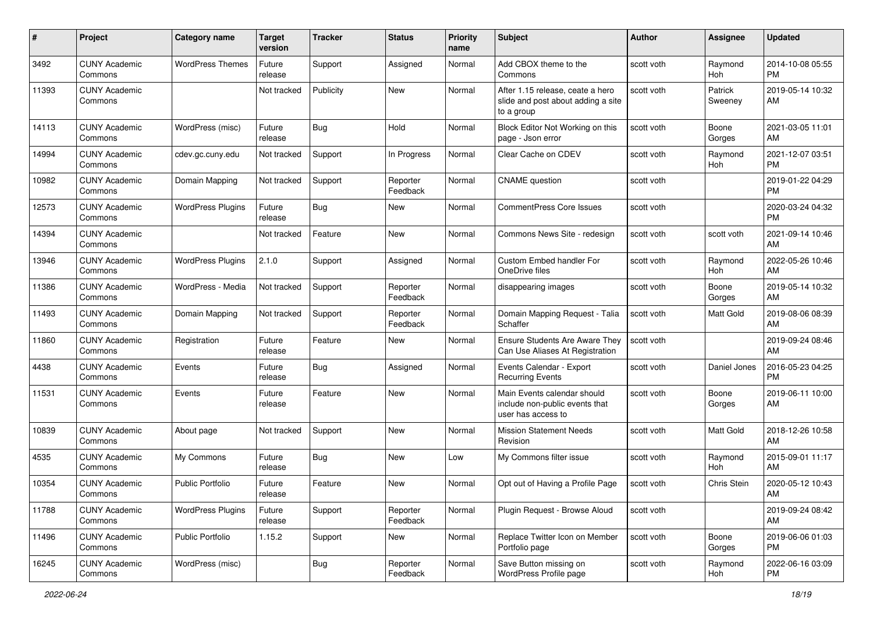| #     | Project                         | <b>Category name</b>     | Target<br>version | <b>Tracker</b> | <b>Status</b>        | <b>Priority</b><br>name | <b>Subject</b>                                                                       | <b>Author</b> | Assignee           | <b>Updated</b>                |
|-------|---------------------------------|--------------------------|-------------------|----------------|----------------------|-------------------------|--------------------------------------------------------------------------------------|---------------|--------------------|-------------------------------|
| 3492  | <b>CUNY Academic</b><br>Commons | <b>WordPress Themes</b>  | Future<br>release | Support        | Assigned             | Normal                  | Add CBOX theme to the<br>Commons                                                     | scott voth    | Raymond<br>Hoh     | 2014-10-08 05:55<br><b>PM</b> |
| 11393 | <b>CUNY Academic</b><br>Commons |                          | Not tracked       | Publicity      | New                  | Normal                  | After 1.15 release, ceate a hero<br>slide and post about adding a site<br>to a group | scott voth    | Patrick<br>Sweeney | 2019-05-14 10:32<br>AM        |
| 14113 | <b>CUNY Academic</b><br>Commons | WordPress (misc)         | Future<br>release | <b>Bug</b>     | Hold                 | Normal                  | Block Editor Not Working on this<br>page - Json error                                | scott voth    | Boone<br>Gorges    | 2021-03-05 11:01<br>AM        |
| 14994 | <b>CUNY Academic</b><br>Commons | cdev.gc.cuny.edu         | Not tracked       | Support        | In Progress          | Normal                  | Clear Cache on CDEV                                                                  | scott voth    | Raymond<br>Hoh     | 2021-12-07 03:51<br><b>PM</b> |
| 10982 | <b>CUNY Academic</b><br>Commons | Domain Mapping           | Not tracked       | Support        | Reporter<br>Feedback | Normal                  | <b>CNAME</b> question                                                                | scott voth    |                    | 2019-01-22 04:29<br><b>PM</b> |
| 12573 | <b>CUNY Academic</b><br>Commons | <b>WordPress Plugins</b> | Future<br>release | <b>Bug</b>     | New                  | Normal                  | <b>CommentPress Core Issues</b>                                                      | scott voth    |                    | 2020-03-24 04:32<br>PM        |
| 14394 | <b>CUNY Academic</b><br>Commons |                          | Not tracked       | Feature        | New                  | Normal                  | Commons News Site - redesign                                                         | scott voth    | scott voth         | 2021-09-14 10:46<br>AM        |
| 13946 | <b>CUNY Academic</b><br>Commons | <b>WordPress Plugins</b> | 2.1.0             | Support        | Assigned             | Normal                  | Custom Embed handler For<br>OneDrive files                                           | scott voth    | Raymond<br>Hoh     | 2022-05-26 10:46<br>AM        |
| 11386 | <b>CUNY Academic</b><br>Commons | WordPress - Media        | Not tracked       | Support        | Reporter<br>Feedback | Normal                  | disappearing images                                                                  | scott voth    | Boone<br>Gorges    | 2019-05-14 10:32<br>AM        |
| 11493 | <b>CUNY Academic</b><br>Commons | Domain Mapping           | Not tracked       | Support        | Reporter<br>Feedback | Normal                  | Domain Mapping Request - Talia<br>Schaffer                                           | scott voth    | <b>Matt Gold</b>   | 2019-08-06 08:39<br>AM        |
| 11860 | <b>CUNY Academic</b><br>Commons | Registration             | Future<br>release | Feature        | <b>New</b>           | Normal                  | Ensure Students Are Aware They<br>Can Use Aliases At Registration                    | scott voth    |                    | 2019-09-24 08:46<br>AM        |
| 4438  | <b>CUNY Academic</b><br>Commons | Events                   | Future<br>release | Bug            | Assigned             | Normal                  | Events Calendar - Export<br><b>Recurring Events</b>                                  | scott voth    | Daniel Jones       | 2016-05-23 04:25<br><b>PM</b> |
| 11531 | <b>CUNY Academic</b><br>Commons | Events                   | Future<br>release | Feature        | New                  | Normal                  | Main Events calendar should<br>include non-public events that<br>user has access to  | scott voth    | Boone<br>Gorges    | 2019-06-11 10:00<br>AM        |
| 10839 | <b>CUNY Academic</b><br>Commons | About page               | Not tracked       | Support        | <b>New</b>           | Normal                  | <b>Mission Statement Needs</b><br>Revision                                           | scott voth    | Matt Gold          | 2018-12-26 10:58<br>AM        |
| 4535  | <b>CUNY Academic</b><br>Commons | My Commons               | Future<br>release | <b>Bug</b>     | New                  | Low                     | My Commons filter issue                                                              | scott voth    | Raymond<br>Hoh     | 2015-09-01 11:17<br>AM        |
| 10354 | <b>CUNY Academic</b><br>Commons | <b>Public Portfolio</b>  | Future<br>release | Feature        | New                  | Normal                  | Opt out of Having a Profile Page                                                     | scott voth    | Chris Stein        | 2020-05-12 10:43<br>AM        |
| 11788 | <b>CUNY Academic</b><br>Commons | <b>WordPress Plugins</b> | Future<br>release | Support        | Reporter<br>Feedback | Normal                  | Plugin Request - Browse Aloud                                                        | scott voth    |                    | 2019-09-24 08:42<br>AM        |
| 11496 | <b>CUNY Academic</b><br>Commons | <b>Public Portfolio</b>  | 1.15.2            | Support        | New                  | Normal                  | Replace Twitter Icon on Member<br>Portfolio page                                     | scott voth    | Boone<br>Gorges    | 2019-06-06 01:03<br>PM        |
| 16245 | <b>CUNY Academic</b><br>Commons | WordPress (misc)         |                   | <b>Bug</b>     | Reporter<br>Feedback | Normal                  | Save Button missing on<br>WordPress Profile page                                     | scott voth    | Raymond<br>Hoh     | 2022-06-16 03:09<br>PM        |